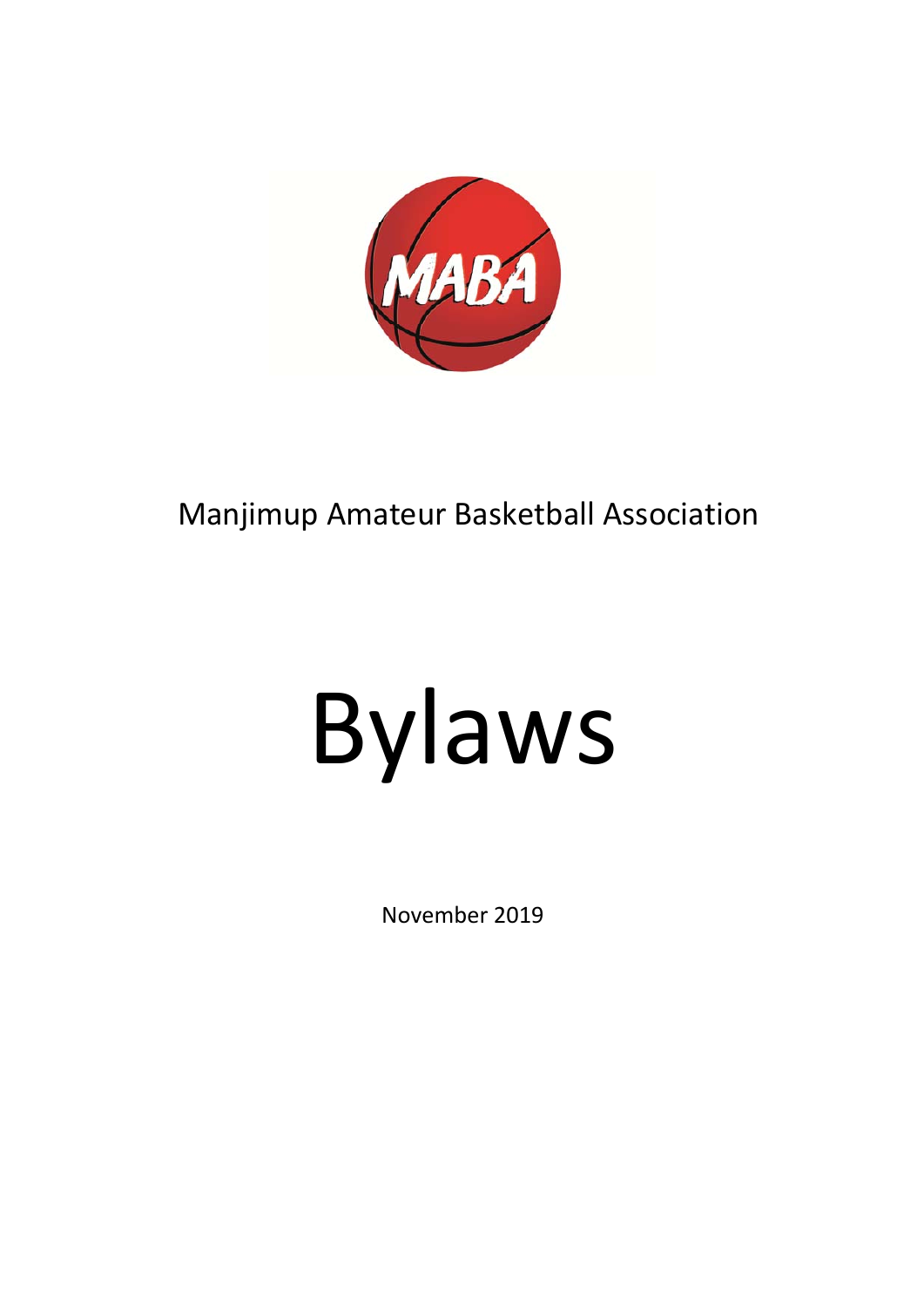

## Manjimup Amateur Basketball Association

# Bylaws

November 2019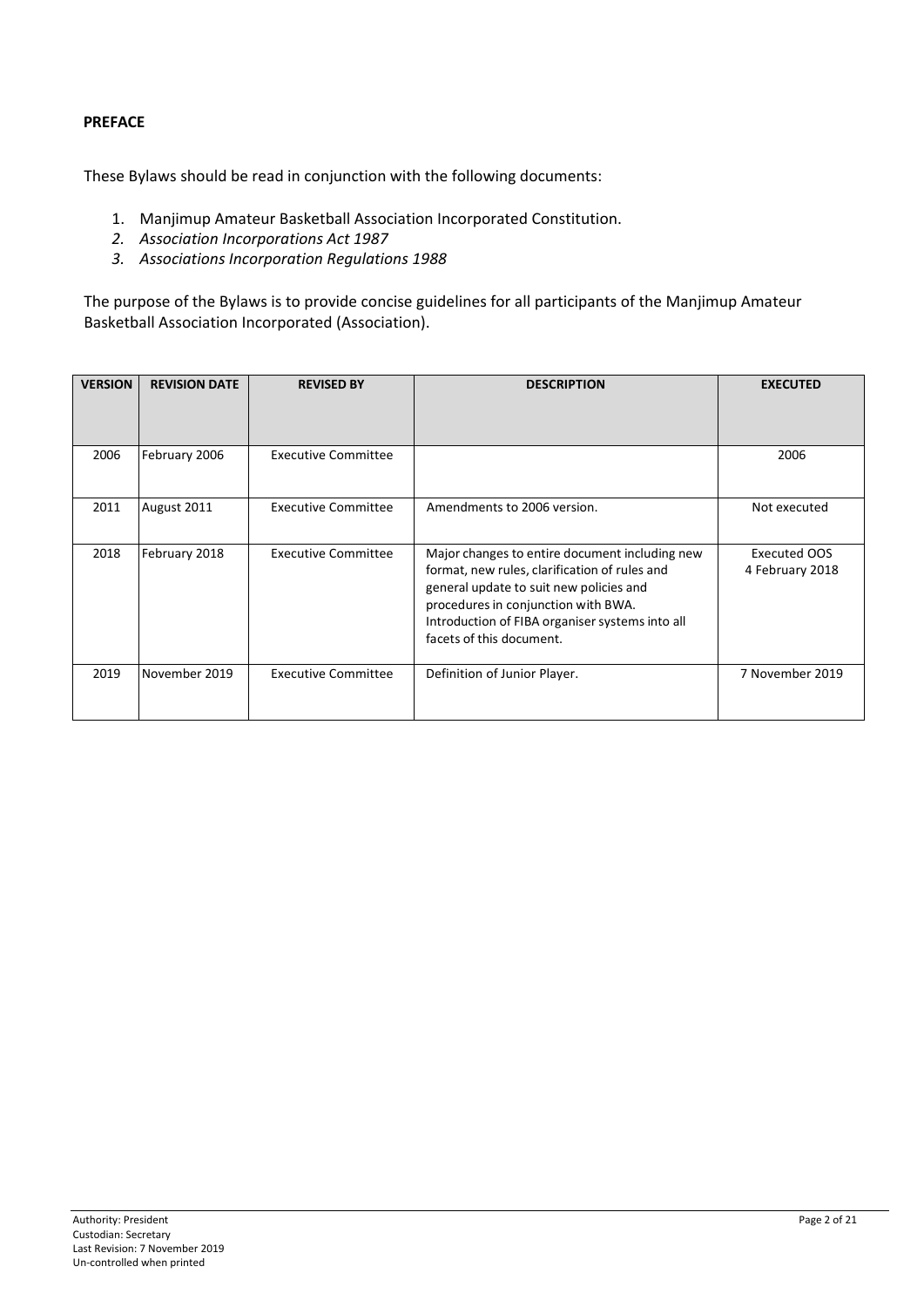#### **PREFACE**

These Bylaws should be read in conjunction with the following documents:

- 1. Manjimup Amateur Basketball Association Incorporated Constitution.
- *2. Association Incorporations Act 1987*
- *3. Associations Incorporation Regulations 1988*

The purpose of the Bylaws is to provide concise guidelines for all participants of the Manjimup Amateur Basketball Association Incorporated (Association).

| <b>VERSION</b> | <b>REVISION DATE</b> | <b>REVISED BY</b>          | <b>DESCRIPTION</b>                                                                                                                                                                                                                                               | <b>EXECUTED</b>                 |
|----------------|----------------------|----------------------------|------------------------------------------------------------------------------------------------------------------------------------------------------------------------------------------------------------------------------------------------------------------|---------------------------------|
| 2006           | February 2006        | <b>Executive Committee</b> |                                                                                                                                                                                                                                                                  | 2006                            |
| 2011           | August 2011          | <b>Executive Committee</b> | Amendments to 2006 version.                                                                                                                                                                                                                                      | Not executed                    |
| 2018           | February 2018        | <b>Executive Committee</b> | Major changes to entire document including new<br>format, new rules, clarification of rules and<br>general update to suit new policies and<br>procedures in conjunction with BWA.<br>Introduction of FIBA organiser systems into all<br>facets of this document. | Executed OOS<br>4 February 2018 |
| 2019           | November 2019        | <b>Executive Committee</b> | Definition of Junior Player.                                                                                                                                                                                                                                     | 7 November 2019                 |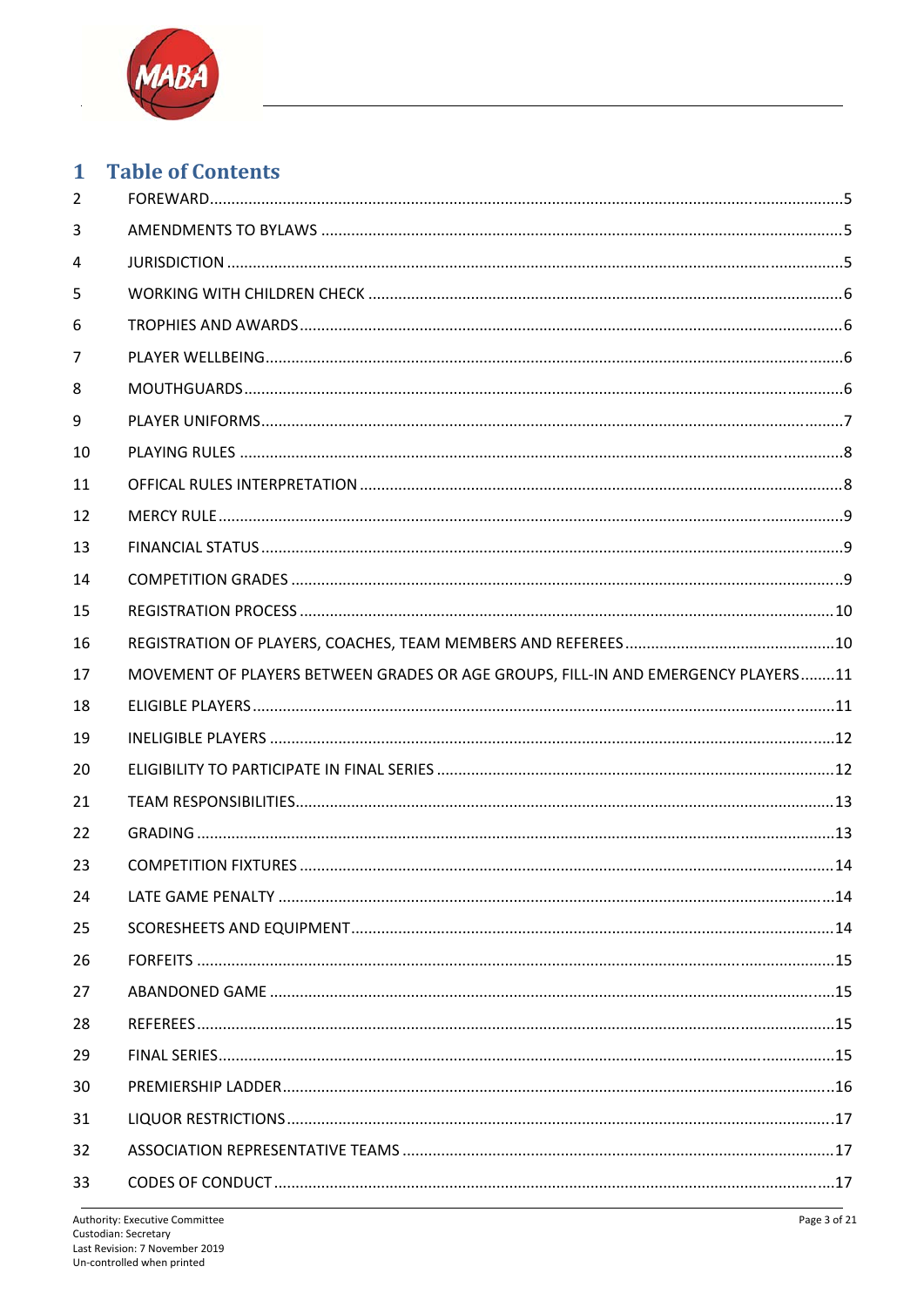

### 1 Table of Contents

| $\overline{2}$ |                                                                                   |  |
|----------------|-----------------------------------------------------------------------------------|--|
| 3              |                                                                                   |  |
| 4              |                                                                                   |  |
| 5              |                                                                                   |  |
| 6              |                                                                                   |  |
| 7              |                                                                                   |  |
| 8              |                                                                                   |  |
| 9              |                                                                                   |  |
| 10             |                                                                                   |  |
| 11             |                                                                                   |  |
| 12             |                                                                                   |  |
| 13             |                                                                                   |  |
| 14             |                                                                                   |  |
| 15             |                                                                                   |  |
| 16             |                                                                                   |  |
| 17             | MOVEMENT OF PLAYERS BETWEEN GRADES OR AGE GROUPS, FILL-IN AND EMERGENCY PLAYERS11 |  |
| 18             |                                                                                   |  |
| 19             |                                                                                   |  |
| 20             |                                                                                   |  |
| 21             |                                                                                   |  |
| 22             |                                                                                   |  |
| 23             |                                                                                   |  |
| 24             |                                                                                   |  |
| 25             |                                                                                   |  |
| 26             |                                                                                   |  |
| 27             |                                                                                   |  |
| 28             |                                                                                   |  |
| 29             |                                                                                   |  |
| 30             |                                                                                   |  |
| 31             |                                                                                   |  |
| 32             |                                                                                   |  |
| 33             |                                                                                   |  |
|                |                                                                                   |  |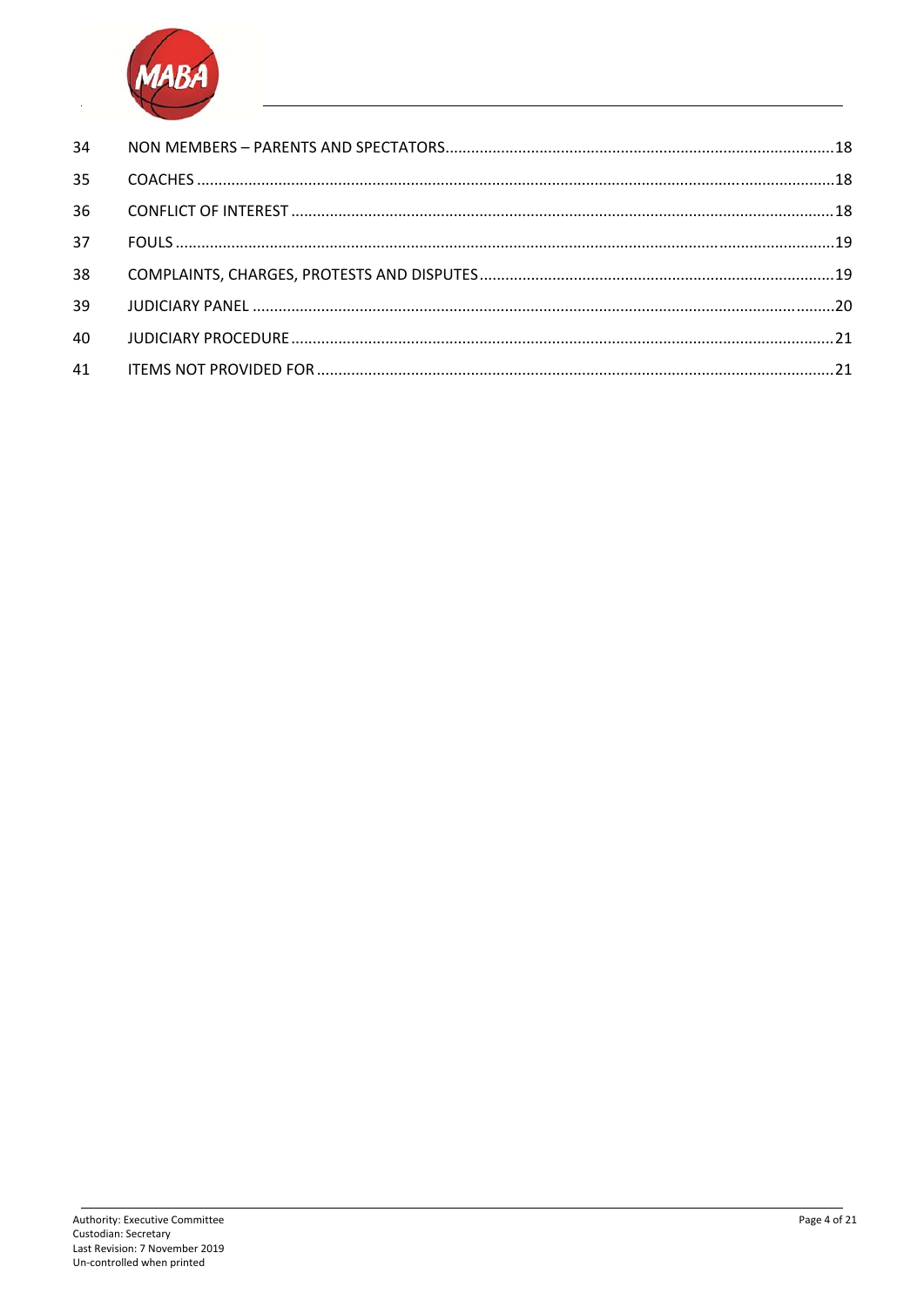

| 34 |  |
|----|--|
| 35 |  |
| 36 |  |
| 37 |  |
| 38 |  |
| 39 |  |
| 40 |  |
| 41 |  |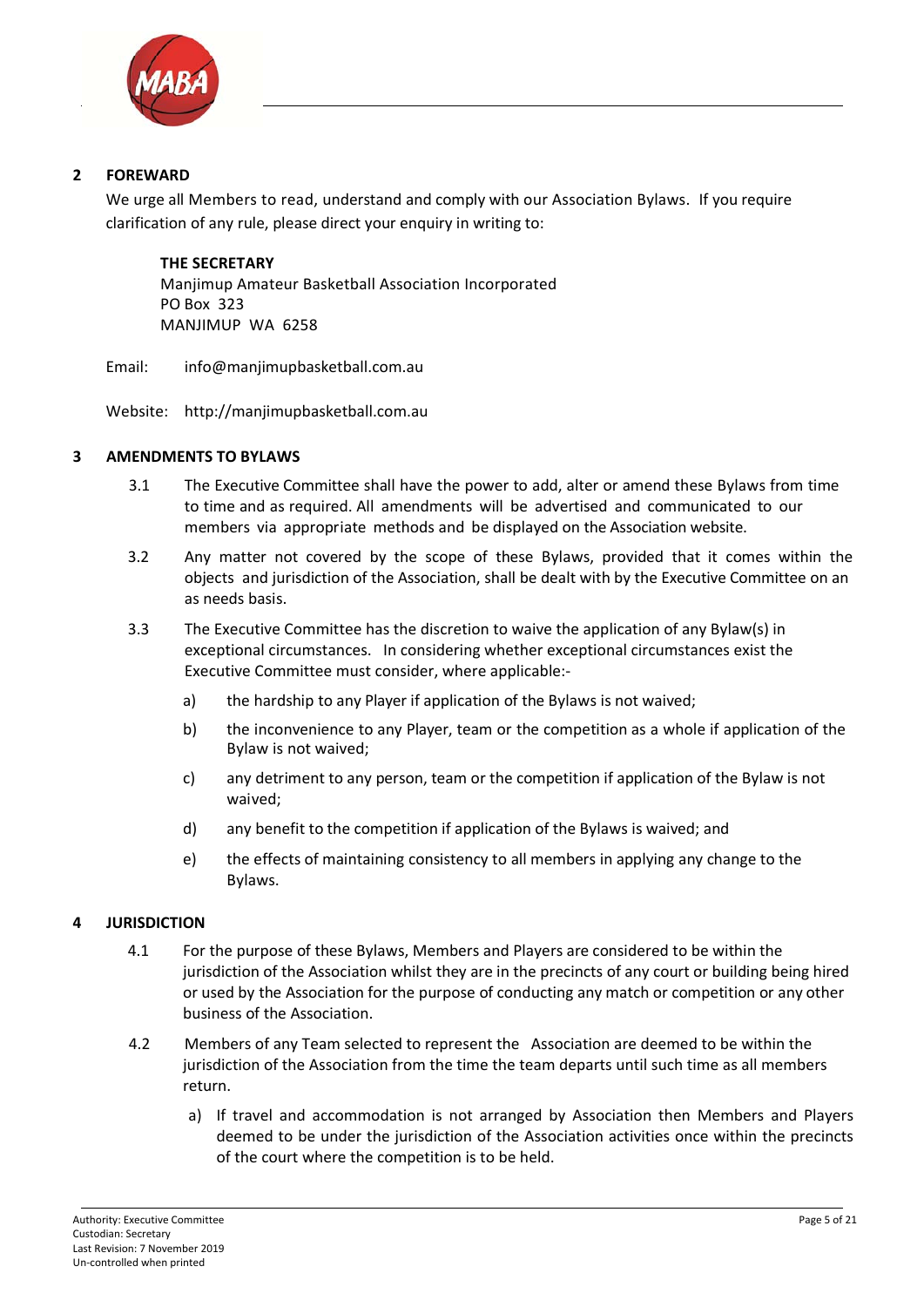

#### **2 FOREWARD**

We urge all Members to read, understand and comply with our Association Bylaws. If you require clarification of any rule, please direct your enquiry in writing to:

**THE SECRETARY** Manjimup Amateur Basketball Association Incorporated PO Box 323 MANJIMUP WA 6258

Email: info@manjimupbasketball.com.au

Website: http://manjimupbasketball.com.au

#### **3 AMENDMENTS TO BYLAWS**

- 3.1 The Executive Committee shall have the power to add, alter or amend these Bylaws from time to time and as required. All amendments will be advertised and communicated to our members via appropriate methods and be displayed on the Association website.<br>3.2 Any matter not covered by the scope of these Bylaws, provided that it con
- Any matter not covered by the scope of these Bylaws, provided that it comes within the objects and jurisdiction of the Association, shall be dealt with by the Executive Committee on an as needs basis.
- 3.3 The Executive Committee has the discretion to waive the application of any Bylaw(s) in exceptional circumstances. In considering whether exceptional circumstances exist the Executive Committee must consider, where applicable:‐
	- a) the hardship to any Player if application of the Bylaws is not waived;
	- b) the inconvenience to any Player, team or the competition as a whole if application of the Bylaw is not waived;
	- c) any detriment to any person, team or the competition if application of the Bylaw is not waived;
	- d) any benefit to the competition if application of the Bylaws is waived; and
	- e) the effects of maintaining consistency to all members in applying any change to the Bylaws.

#### **4 JURISDICTION**

- 4.1 For the purpose of these Bylaws, Members and Players are considered to be within the jurisdiction of the Association whilst they are in the precincts of any court or building being hired or used by the Association for the purpose of conducting any match or competition or any other business of the Association.
- 4.2 Members of any Team selected to represent the Association are deemed to be within the jurisdiction of the Association from the time the team departs until such time as all members return.
	- a) If travel and accommodation is not arranged by Association then Members and Players deemed to be under the jurisdiction of the Association activities once within the precincts of the court where the competition is to be held.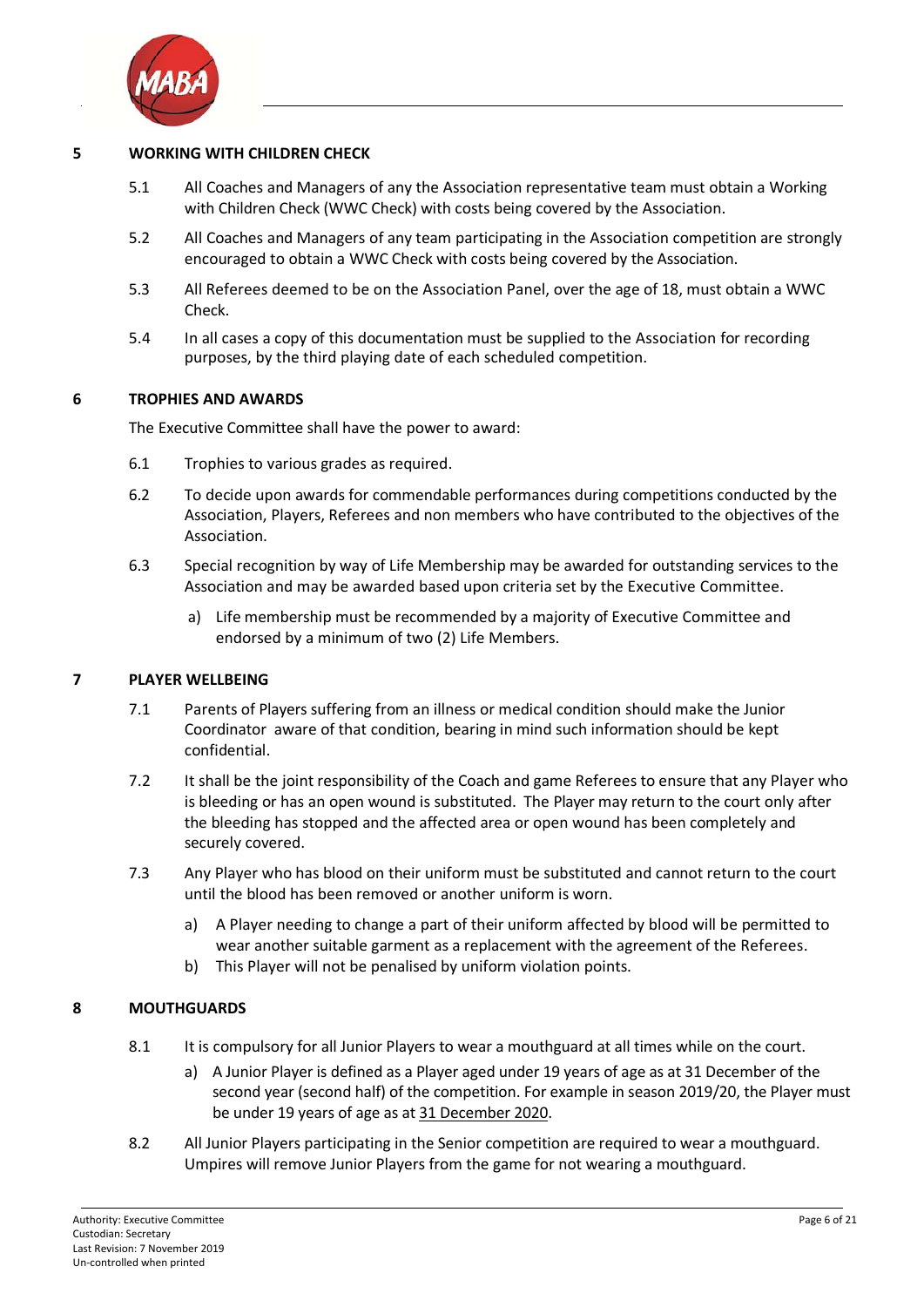

#### **5 WORKING WITH CHILDREN CHECK**

- 5.1 All Coaches and Managers of any the Association representative team must obtain a Working with Children Check (WWC Check) with costs being covered by the Association.
- 5.2 All Coaches and Managers of any team participating in the Association competition are strongly encouraged to obtain a WWC Check with costs being covered by the Association.
- 5.3 All Referees deemed to be on the Association Panel, over the age of 18, must obtain a WWC Check.
- 5.4 In all cases a copy of this documentation must be supplied to the Association for recording purposes, by the third playing date of each scheduled competition.

#### **6 TROPHIES AND AWARDS**

The Executive Committee shall have the power to award:

- 6.1 Trophies to various grades as required.
- 6.2 To decide upon awards for commendable performances during competitions conducted by the Association, Players, Referees and non members who have contributed to the objectives of the Association.
- 6.3 Special recognition by way of Life Membership may be awarded for outstanding services to the Association and may be awarded based upon criteria set by the Executive Committee.
	- a) Life membership must be recommended by a majority of Executive Committee and endorsed by a minimum of two (2) Life Members.

#### **7 PLAYER WELLBEING**

- 7.1 Parents of Players suffering from an illness or medical condition should make the Junior Coordinator aware of that condition, bearing in mind such information should be kept confidential.
- 7.2 It shall be the joint responsibility of the Coach and game Referees to ensure that any Player who is bleeding or has an open wound is substituted. The Player may return to the court only after the bleeding has stopped and the affected area or open wound has been completely and securely covered.
- 7.3 Any Player who has blood on their uniform must be substituted and cannot return to the court until the blood has been removed or another uniform is worn.
	- a) A Player needing to change a part of their uniform affected by blood will be permitted to wear another suitable garment as a replacement with the agreement of the Referees.
	- b) This Player will not be penalised by uniform violation points.

#### **8 MOUTHGUARDS**

- 8.1 It is compulsory for all Junior Players to wear a mouthguard at all times while on the court.
	- a) A Junior Player is defined as a Player aged under 19 years of age as at 31 December of the second year (second half) of the competition. For example in season 2019/20, the Player must be under 19 years of age as at 31 December 2020.
- 8.2 All Junior Players participating in the Senior competition are required to wear a mouthguard. Umpires will remove Junior Players from the game for not wearing a mouthguard.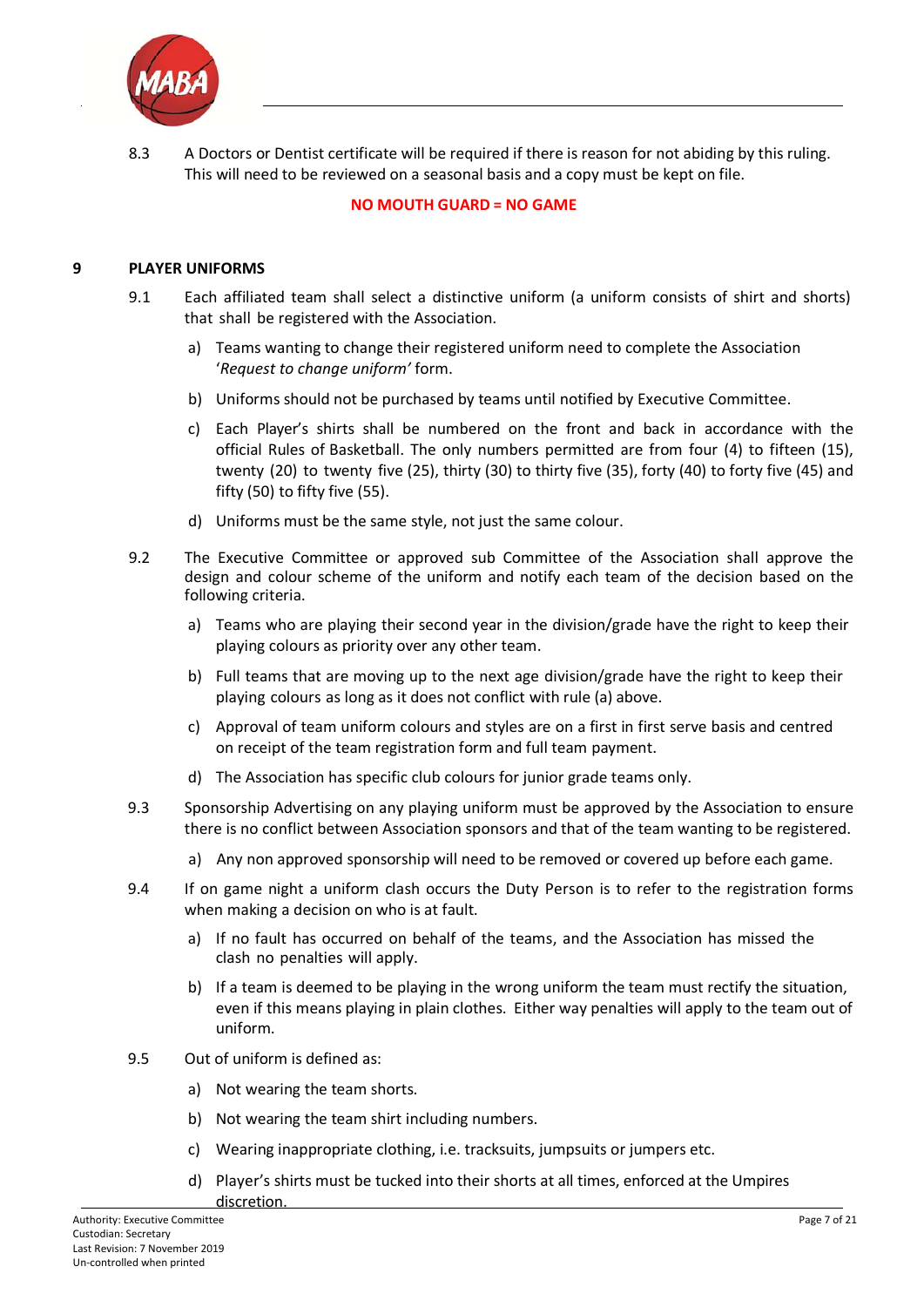

8.3 A Doctors or Dentist certificate will be required if there is reason for not abiding by this ruling. This will need to be reviewed on a seasonal basis and a copy must be kept on file.

#### **NO MOUTH GUARD = NO GAME**

#### **9 PLAYER UNIFORMS**

- 9.1 Each affiliated team shall select a distinctive uniform (a uniform consists of shirt and shorts) that shall be registered with the Association.
	- a) Teams wanting to change their registered uniform need to complete the Association '*Request to change uniform'* form.
	- b) Uniforms should not be purchased by teams until notified by Executive Committee.
	- c) Each Player's shirts shall be numbered on the front and back in accordance with the official Rules of Basketball. The only numbers permitted are from four (4) to fifteen (15), twenty (20) to twenty five (25), thirty (30) to thirty five (35), forty (40) to forty five (45) and fifty (50) to fifty five (55).
	- d) Uniforms must be the same style, not just the same colour.
- 9.2 The Executive Committee or approved sub Committee of the Association shall approve the design and colour scheme of the uniform and notify each team of the decision based on the following criteria.
	- a) Teams who are playing their second year in the division/grade have the right to keep their playing colours as priority over any other team.
	- b) Full teams that are moving up to the next age division/grade have the right to keep their playing colours as long as it does not conflict with rule (a) above.
	- c) Approval of team uniform colours and styles are on a first in first serve basis and centred on receipt of the team registration form and full team payment.
	- d) The Association has specific club colours for junior grade teams only.
- 9.3 Sponsorship Advertising on any playing uniform must be approved by the Association to ensure there is no conflict between Association sponsors and that of the team wanting to be registered.
	- a) Any non approved sponsorship will need to be removed or covered up before each game.
- 9.4 If on game night a uniform clash occurs the Duty Person is to refer to the registration forms when making a decision on who is at fault.
	- a) If no fault has occurred on behalf of the teams, and the Association has missed the clash no penalties will apply.
	- b) If a team is deemed to be playing in the wrong uniform the team must rectify the situation, even if this means playing in plain clothes. Either way penalties will apply to the team out of uniform.
- 9.5 Out of uniform is defined as:
	- a) Not wearing the team shorts.
	- b) Not wearing the team shirt including numbers.
	- c) Wearing inappropriate clothing, i.e. tracksuits, jumpsuits or jumpers etc.
	- d) Player's shirts must be tucked into their shorts at all times, enforced at the Umpires

discretion.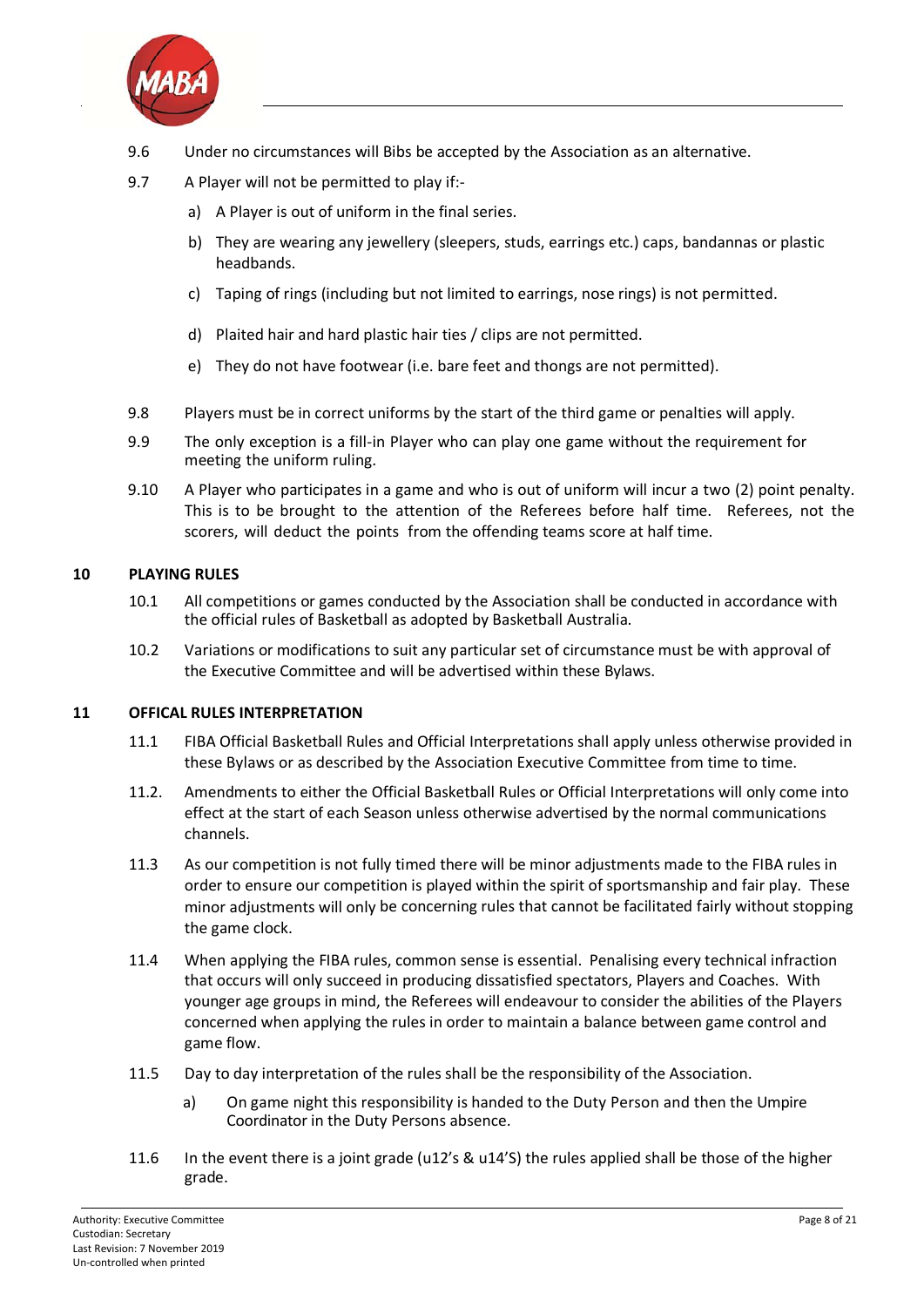

- 9.6 Under no circumstances will Bibs be accepted by the Association as an alternative.
- 9.7 A Player will not be permitted to play if:
	- a) A Player is out of uniform in the final series.
	- b) They are wearing any jewellery (sleepers, studs, earrings etc.) caps, bandannas or plastic headbands.
	- c) Taping of rings (including but not limited to earrings, nose rings) is not permitted.
	- d) Plaited hair and hard plastic hair ties / clips are not permitted.
	- e) They do not have footwear (i.e. bare feet and thongs are not permitted).
- 9.8 Players must be in correct uniforms by the start of the third game or penalties will apply.
- 9.9 The only exception is a fill-in Player who can play one game without the requirement for meeting the uniform ruling.
- 9.10 A Player who participates in a game and who is out of uniform will incur a two (2) point penalty. This is to be brought to the attention of the Referees before half time. Referees, not the scorers, will deduct the points from the offending teams score at half time.

#### **10 PLAYING RULES**

- 10.1 All competitions or games conducted by the Association shall be conducted in accordance with the official rules of Basketball as adopted by Basketball Australia.
- 10.2 Variations or modifications to suit any particular set of circumstance must be with approval of the Executive Committee and will be advertised within these Bylaws.

#### **11 OFFICAL RULES INTERPRETATION**

- 11.1 FIBA Official Basketball Rules and Official Interpretations shall apply unless otherwise provided in these Bylaws or as described by the Association Executive Committee from time to time.<br>11.2. Amendments to either the Official Basketball Rules or Official Interpretations will only con-
- Amendments to either the Official Basketball Rules or Official Interpretations will only come into effect at the start of each Season unless otherwise advertised by the normal communications channels.
- 11.3 As our competition is not fully timed there will be minor adjustments made to the FIBA rules in order to ensure our competition is played within the spirit of sportsmanship and fair play. These minor adjustments will only be concerning rules that cannot be facilitated fairly without stopping the game clock.
- 11.4 When applying the FIBA rules, common sense is essential. Penalising every technical infraction that occurs will only succeed in producing dissatisfied spectators, Players and Coaches. With younger age groups in mind, the Referees will endeavour to consider the abilities of the Players concerned when applying the rules in order to maintain a balance between game control and game flow.
- 11.5 Day to day interpretation of the rules shall be the responsibility of the Association.
	- a) On game night this responsibility is handed to the Duty Person and then the Umpire Coordinator in the Duty Persons absence.
- 11.6 In the event there is a joint grade (u12's & u14'S) the rules applied shall be those of the higher grade.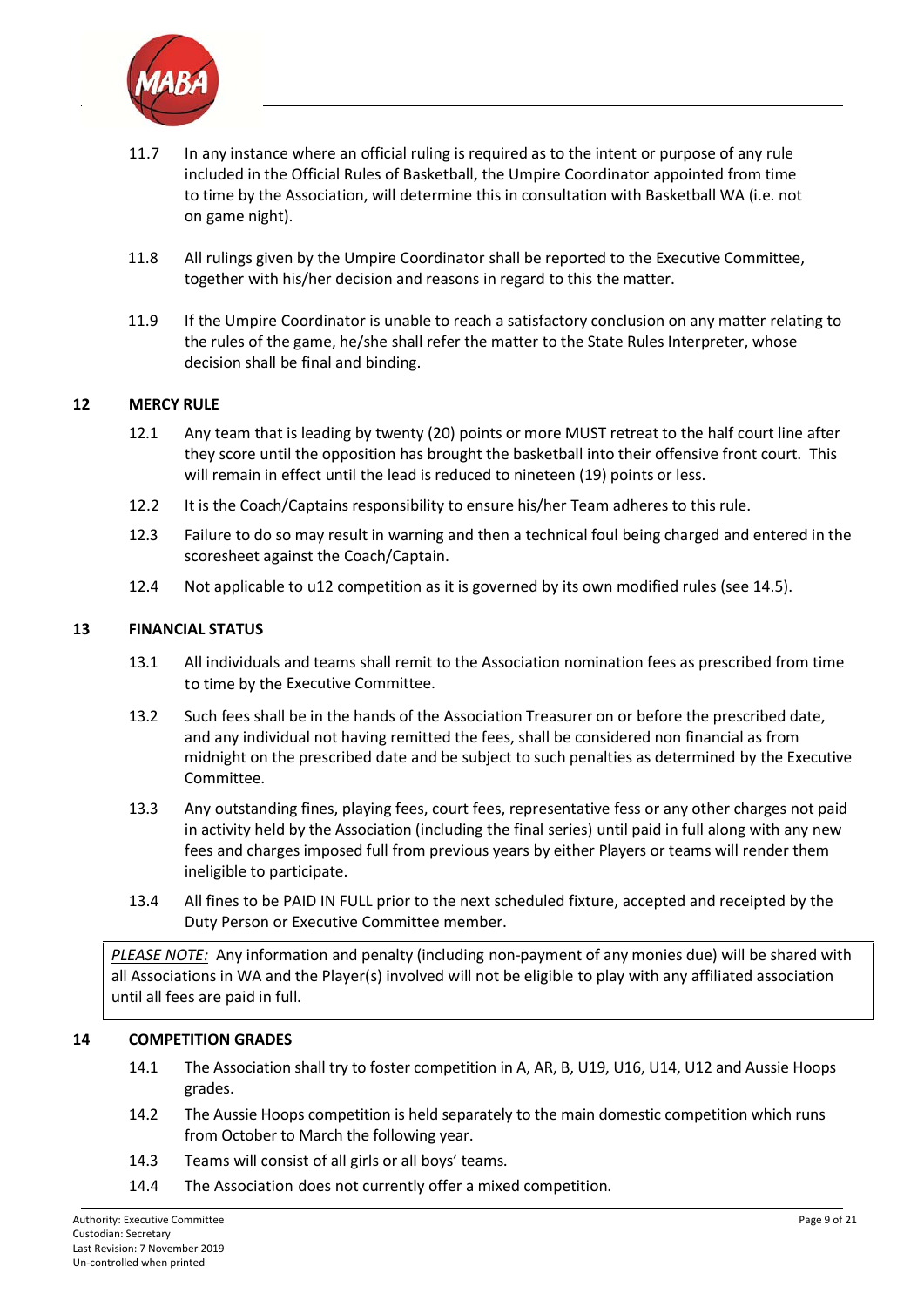

- 11.7 In any instance where an official ruling is required as to the intent or purpose of any rule included in the Official Rules of Basketball, the Umpire Coordinator appointed from time to time by the Association, will determine this in consultation with Basketball WA (i.e. not on game night).
- 11.8 All rulings given by the Umpire Coordinator shall be reported to the Executive Committee, together with his/her decision and reasons in regard to this the matter.
- 11.9 If the Umpire Coordinator is unable to reach a satisfactory conclusion on any matter relating to the rules of the game, he/she shall refer the matter to the State Rules Interpreter, whose decision shall be final and binding.

#### **12 MERCY RULE**

- 12.1 Any team that is leading by twenty (20) points or more MUST retreat to the half court line after they score until the opposition has brought the basketball into their offensive front court. This will remain in effect until the lead is reduced to nineteen (19) points or less.
- 12.2 It is the Coach/Captains responsibility to ensure his/her Team adheres to this rule.
- 12.3 Failure to do so may result in warning and then a technical foul being charged and entered in the scoresheet against the Coach/Captain.
- 12.4 Not applicable to u12 competition as it is governed by its own modified rules (see 14.5).

#### **13 FINANCIAL STATUS**

- 13.1 All individuals and teams shall remit to the Association nomination fees as prescribed from time to time by the Executive Committee.
- 13.2 Such fees shall be in the hands of the Association Treasurer on or before the prescribed date, and any individual not having remitted the fees, shall be considered non financial as from midnight on the prescribed date and be subject to such penalties as determined by the Executive Committee.
- 13.3 Any outstanding fines, playing fees, court fees, representative fess or any other charges not paid in activity held by the Association (including the final series) until paid in full along with any new fees and charges imposed full from previous years by either Players or teams will render them ineligible to participate.
- 13.4 All fines to be PAID IN FULL prior to the next scheduled fixture, accepted and receipted by the Duty Person or Executive Committee member.

*PLEASE NOTE:* Any information and penalty (including non‐payment of any monies due) will be shared with all Associations in WA and the Player(s) involved will not be eligible to play with any affiliated association until all fees are paid in full.

#### **14 COMPETITION GRADES**

- 14.1 The Association shall try to foster competition in A, AR, B, U19, U16, U14, U12 and Aussie Hoops grades.
- 14.2 The Aussie Hoops competition is held separately to the main domestic competition which runs from October to March the following year.
- 14.3 Teams will consist of all girls or all boys' teams.
- 14.4 The Association does not currently offer a mixed competition.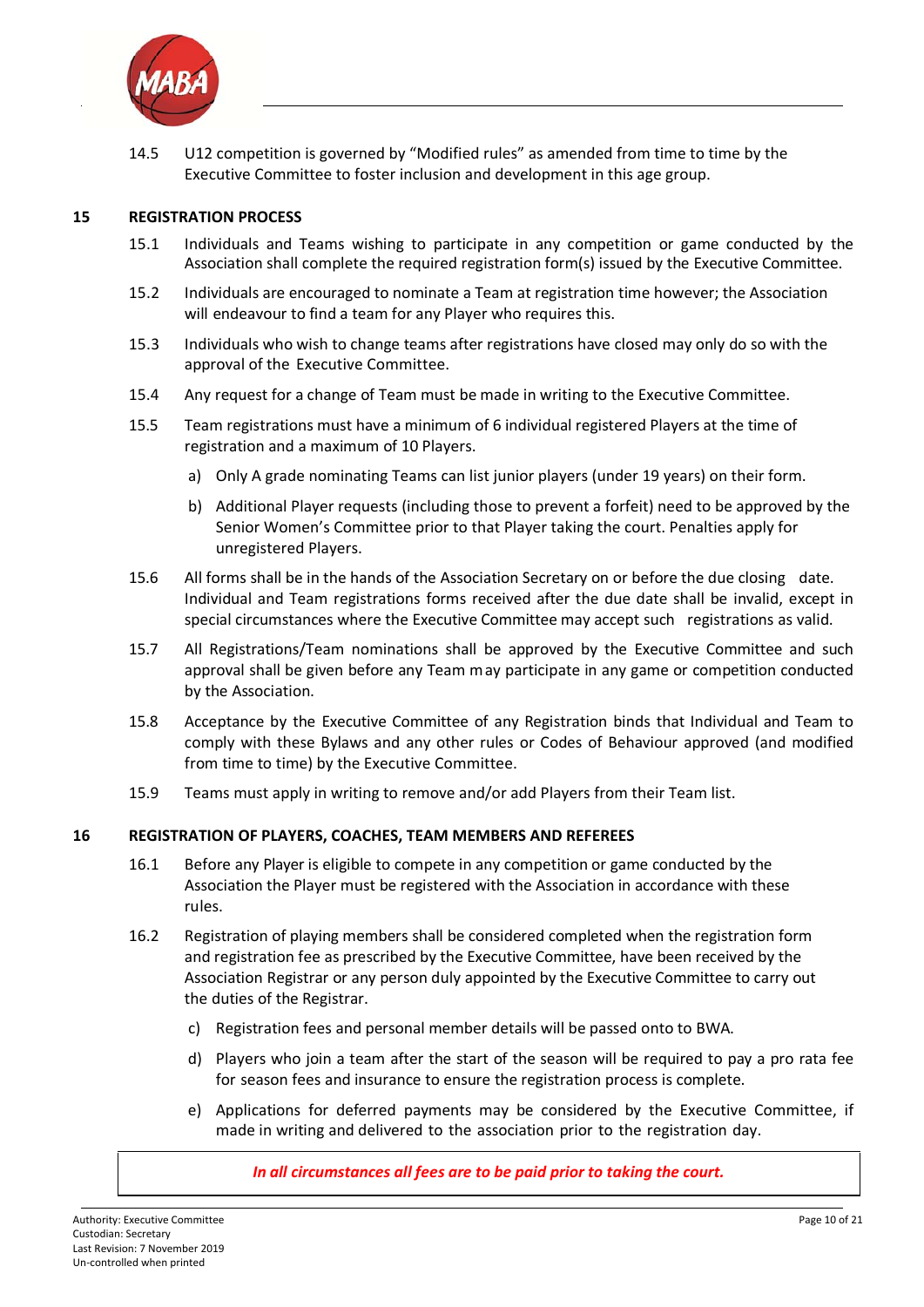

14.5 U12 competition is governed by "Modified rules" as amended from time to time by the Executive Committee to foster inclusion and development in this age group.

#### **15 REGISTRATION PROCESS**

- 15.1 Individuals and Teams wishing to participate in any competition or game conducted by the Association shall complete the required registration form(s) issued by the Executive Committee.
- 15.2 Individuals are encouraged to nominate a Team at registration time however; the Association will endeavour to find a team for any Player who requires this.
- 15.3 Individuals who wish to change teams after registrations have closed may only do so with the approval of the Executive Committee.
- 15.4 Any request for a change of Team must be made in writing to the Executive Committee.
- 15.5 Team registrations must have a minimum of 6 individual registered Players at the time of registration and a maximum of 10 Players.
	- a) Only A grade nominating Teams can list junior players (under 19 years) on their form.
	- b) Additional Player requests (including those to prevent a forfeit) need to be approved by the Senior Women's Committee prior to that Player taking the court. Penalties apply for unregistered Players.
- 15.6 All forms shall be in the hands of the Association Secretary on or before the due closing date. Individual and Team registrations forms received after the due date shall be invalid, except in special circumstances where the Executive Committee may accept such registrations as valid.
- 15.7 All Registrations/Team nominations shall be approved by the Executive Committee and such approval shall be given before any Team may participate in any game or competition conducted by the Association.
- 15.8 Acceptance by the Executive Committee of any Registration binds that Individual and Team to comply with these Bylaws and any other rules or Codes of Behaviour approved (and modified from time to time) by the Executive Committee.
- 15.9 Teams must apply in writing to remove and/or add Players from their Team list.

#### **16 REGISTRATION OF PLAYERS, COACHES, TEAM MEMBERS AND REFEREES**

- 16.1 Before any Player is eligible to compete in any competition or game conducted by the Association the Player must be registered with the Association in accordance with these rules.
- 16.2 Registration of playing members shall be considered completed when the registration form and registration fee as prescribed by the Executive Committee, have been received by the Association Registrar or any person duly appointed by the Executive Committee to carry out the duties of the Registrar.
	- c) Registration fees and personal member details will be passed onto to BWA.
	- d) Players who join a team after the start of the season will be required to pay a pro rata fee for season fees and insurance to ensure the registration process is complete.
	- e) Applications for deferred payments may be considered by the Executive Committee, if made in writing and delivered to the association prior to the registration day.

#### *In all circumstances all fees are to be paid prior to taking the court.*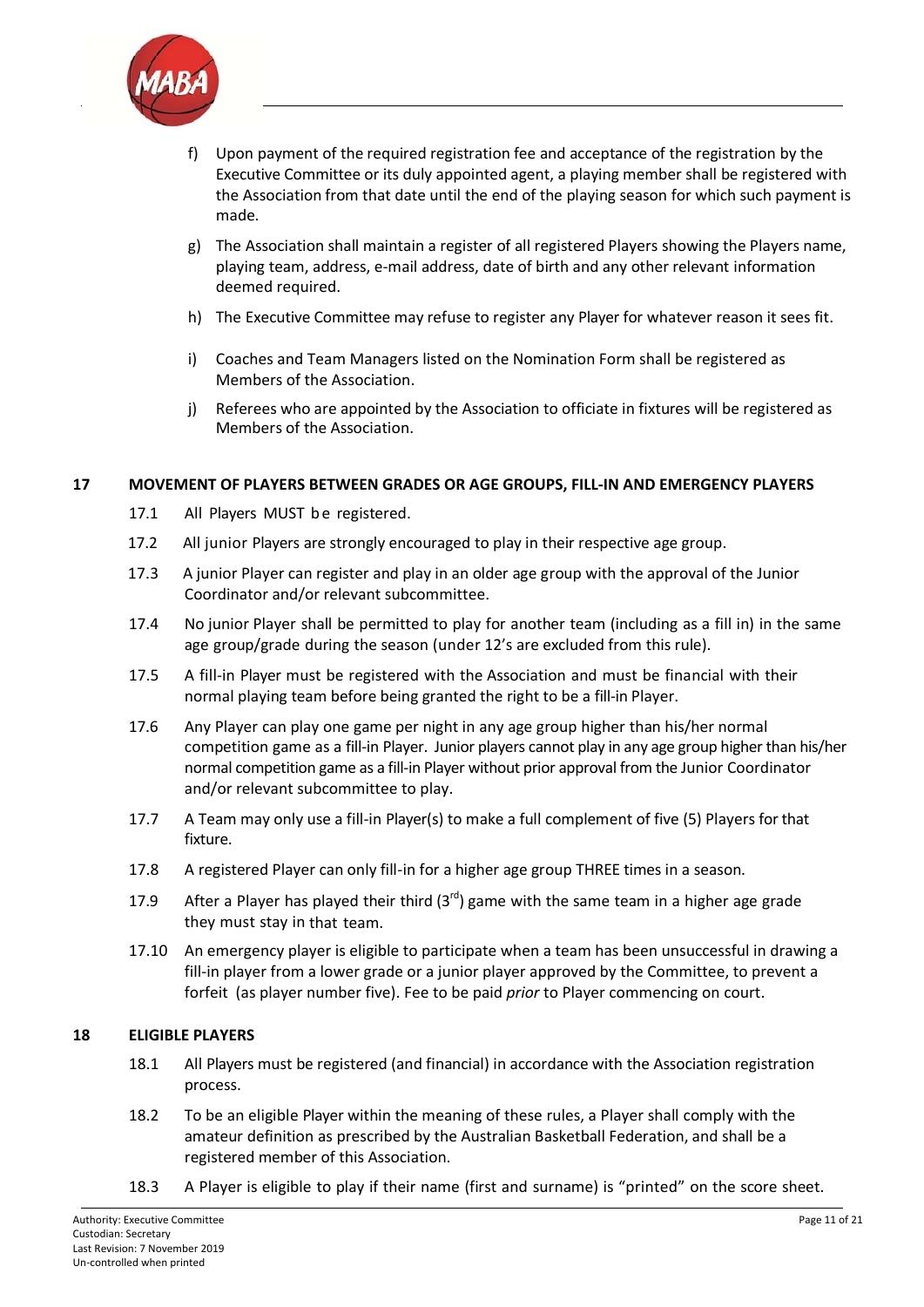

- f) Upon payment of the required registration fee and acceptance of the registration by the Executive Committee or its duly appointed agent, a playing member shall be registered with the Association from that date until the end of the playing season for which such payment is made.
- g) The Association shall maintain a register of all registered Players showing the Players name, playing team, address, e‐mail address, date of birth and any other relevant information deemed required.
- h) The Executive Committee may refuse to register any Player for whatever reason it sees fit.
- i) Coaches and Team Managers listed on the Nomination Form shall be registered as Members of the Association.
- j) Referees who are appointed by the Association to officiate in fixtures will be registered as Members of the Association.

#### **17 MOVEMENT OF PLAYERS BETWEEN GRADES OR AGE GROUPS, FILL‐IN AND EMERGENCY PLAYERS**

- 17.1 All Players MUST be registered.
- 17.2 All junior Players are strongly encouraged to play in their respective age group.
- 17.3 A junior Player can register and play in an older age group with the approval of the Junior Coordinator and/or relevant subcommittee.
- 17.4 No junior Player shall be permitted to play for another team (including as a fill in) in the same age group/grade during the season (under 12's are excluded from this rule).
- 17.5 A fill‐in Player must be registered with the Association and must be financial with their normal playing team before being granted the right to be a fill‐in Player.
- 17.6 Any Player can play one game per night in any age group higher than his/her normal competition game as a fill-in Player. Junior players cannot play in any age group higher than his/her normal competition game as a fill‐in Player without prior approval from the Junior Coordinator and/or relevant subcommittee to play.
- 17.7 A Team may only use a fill‐in Player(s) to make a full complement of five (5) Players for that fixture.
- 17.8 A registered Player can only fill-in for a higher age group THREE times in a season.
- 17.9 After a Player has played their third  $(3<sup>rd</sup>)$  game with the same team in a higher age grade they must stay in that team.
- 17.10 An emergency player is eligible to participate when a team has been unsuccessful in drawing a fill-in player from a lower grade or a junior player approved by the Committee, to prevent a forfeit (as player number five). Fee to be paid *prior* to Player commencing on court.

#### **18 ELIGIBLE PLAYERS**

- 18.1 All Players must be registered (and financial) in accordance with the Association registration process.
- 18.2 To be an eligible Player within the meaning of these rules, a Player shall comply with the amateur definition as prescribed by the Australian Basketball Federation, and shall be a registered member of this Association.
- 18.3 A Player is eligible to play if their name (first and surname) is "printed" on the score sheet.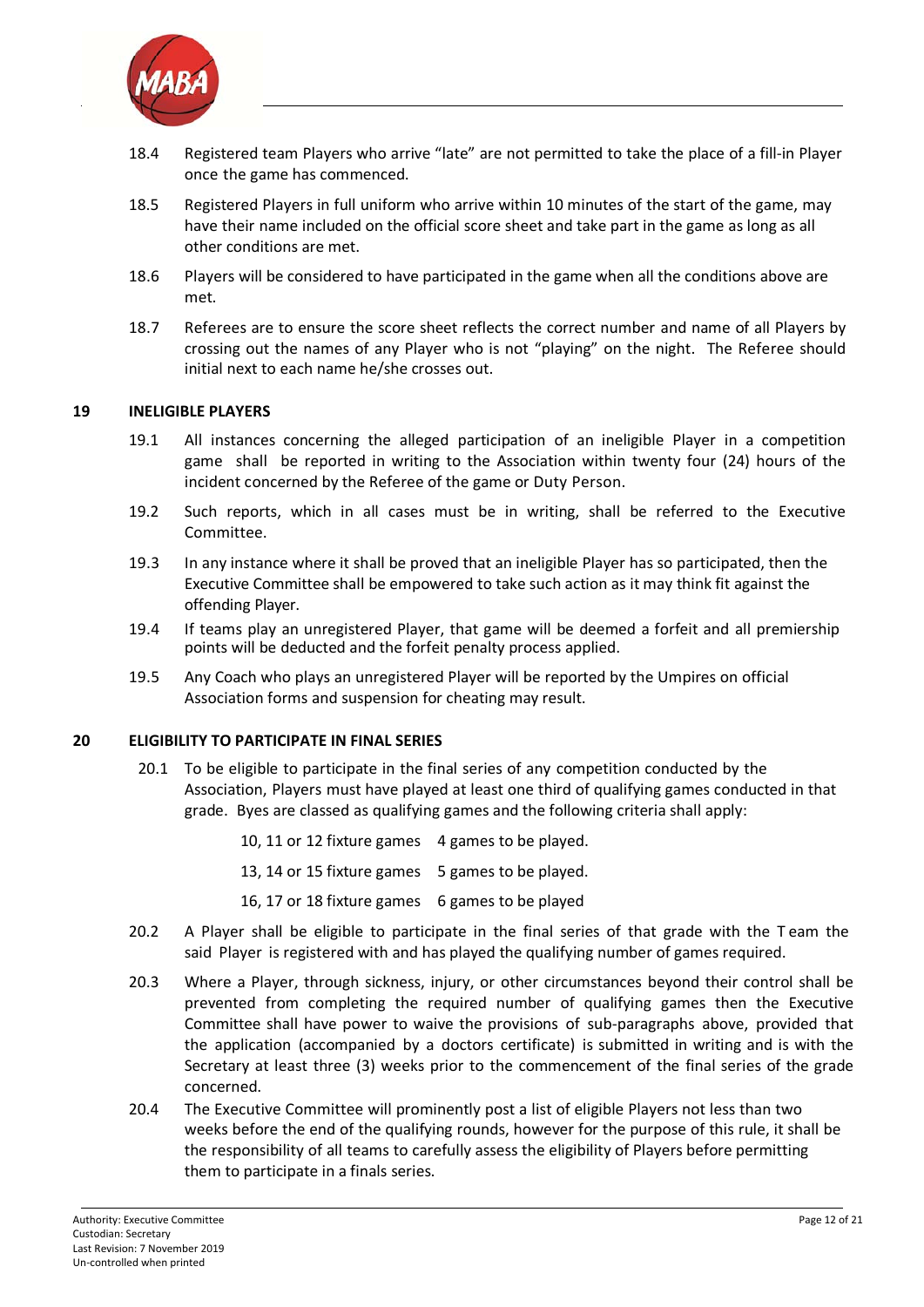

- 18.4 Registered team Players who arrive "late" are not permitted to take the place of a fill‐in Player once the game has commenced.
- 18.5 Registered Players in full uniform who arrive within 10 minutes of the start of the game, may have their name included on the official score sheet and take part in the game as long as all other conditions are met.
- 18.6 Players will be considered to have participated in the game when all the conditions above are met.
- 18.7 Referees are to ensure the score sheet reflects the correct number and name of all Players by crossing out the names of any Player who is not "playing" on the night. The Referee should initial next to each name he/she crosses out.

#### **19 INELIGIBLE PLAYERS**

- 19.1 All instances concerning the alleged participation of an ineligible Player in a competition game shall be reported in writing to the Association within twenty four (24) hours of the incident concerned by the Referee of the game or Duty Person.
- 19.2 Such reports, which in all cases must be in writing, shall be referred to the Executive Committee.
- 19.3 In any instance where it shall be proved that an ineligible Player has so participated, then the Executive Committee shall be empowered to take such action as it may think fit against the offending Player.
- 19.4 If teams play an unregistered Player, that game will be deemed a forfeit and all premiership points will be deducted and the forfeit penalty process applied.
- 19.5 Any Coach who plays an unregistered Player will be reported by the Umpires on official Association forms and suspension for cheating may result.

#### **20 ELIGIBILITY TO PARTICIPATE IN FINAL SERIES**

- 20.1 To be eligible to participate in the final series of any competition conducted by the Association, Players must have played at least one third of qualifying games conducted in that grade. Byes are classed as qualifying games and the following criteria shall apply:
	- 10, 11 or 12 fixture games 4 games to be played.
	- 13, 14 or 15 fixture games 5 games to be played.
	- 16, 17 or 18 fixture games 6 games to be played
- 20.2 A Player shall be eligible to participate in the final series of that grade with the T eam the said Player is registered with and has played the qualifying number of games required.
- 20.3 Where a Player, through sickness, injury, or other circumstances beyond their control shall be prevented from completing the required number of qualifying games then the Executive Committee shall have power to waive the provisions of sub‐paragraphs above, provided that the application (accompanied by a doctors certificate) is submitted in writing and is with the Secretary at least three (3) weeks prior to the commencement of the final series of the grade concerned.
- 20.4 The Executive Committee will prominently post a list of eligible Players not less than two weeks before the end of the qualifying rounds, however for the purpose of this rule, it shall be the responsibility of all teams to carefully assess the eligibility of Players before permitting them to participate in a finals series.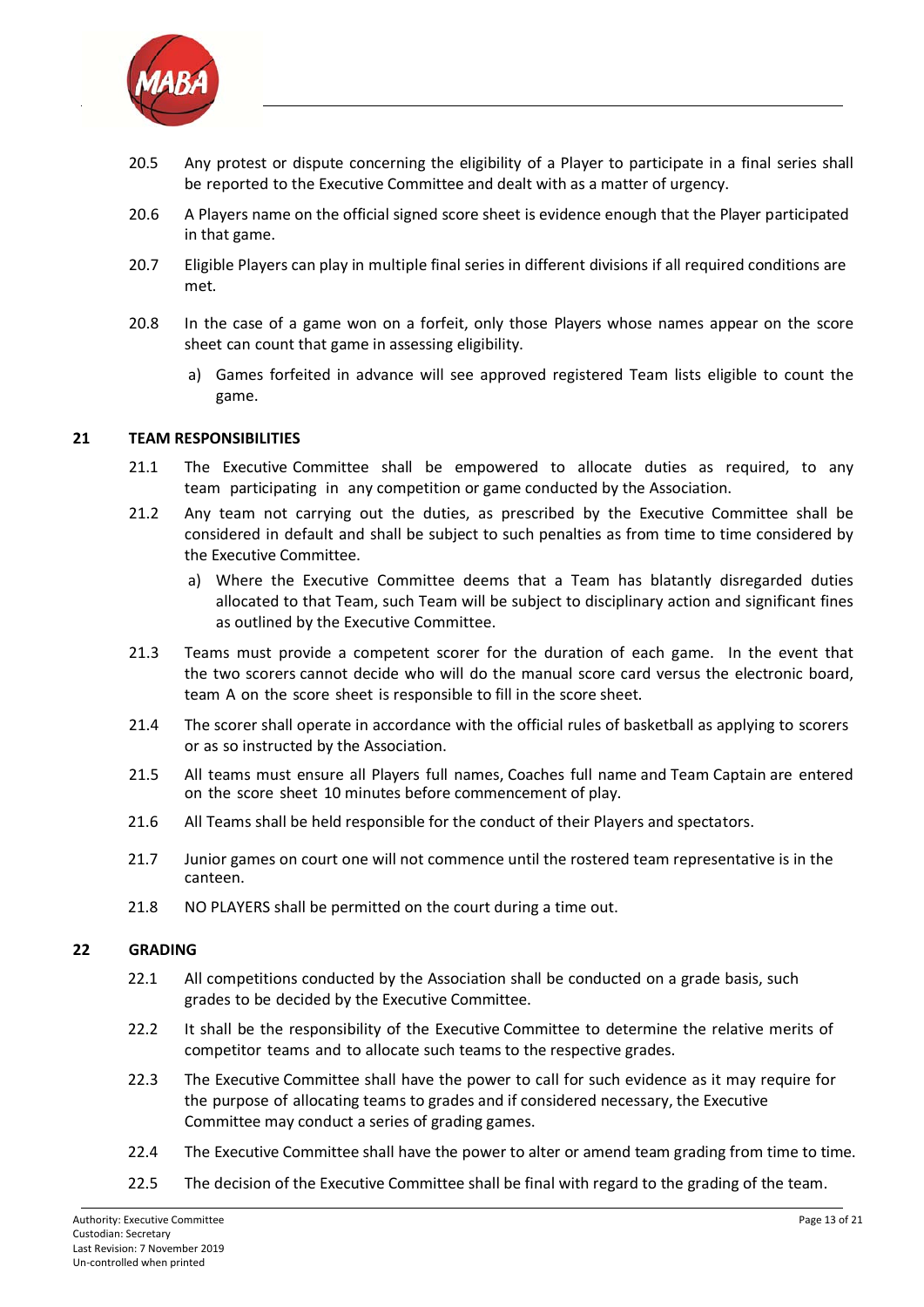

- 20.5 Any protest or dispute concerning the eligibility of a Player to participate in a final series shall be reported to the Executive Committee and dealt with as a matter of urgency.
- 20.6 A Players name on the official signed score sheet is evidence enough that the Player participated in that game.
- 20.7 Eligible Players can play in multiple final series in different divisions if all required conditions are met.
- 20.8 In the case of a game won on a forfeit, only those Players whose names appear on the score sheet can count that game in assessing eligibility.
	- a) Games forfeited in advance will see approved registered Team lists eligible to count the game.

#### **21 TEAM RESPONSIBILITIES**

- 21.1 The Executive Committee shall be empowered to allocate duties as required, to any team participating in any competition or game conducted by the Association.
- 21.2 Any team not carrying out the duties, as prescribed by the Executive Committee shall be considered in default and shall be subject to such penalties as from time to time considered by the Executive Committee.
	- a) Where the Executive Committee deems that a Team has blatantly disregarded duties allocated to that Team, such Team will be subject to disciplinary action and significant fines as outlined by the Executive Committee.
- 21.3 Teams must provide a competent scorer for the duration of each game. In the event that the two scorers cannot decide who will do the manual score card versus the electronic board, team A on the score sheet is responsible to fill in the score sheet.
- 21.4 The scorer shall operate in accordance with the official rules of basketball as applying to scorers or as so instructed by the Association.
- 21.5 All teams must ensure all Players full names, Coaches full name and Team Captain are entered on the score sheet 10 minutes before commencement of play.
- 21.6 All Teams shall be held responsible for the conduct of their Players and spectators.
- 21.7 Junior games on court one will not commence until the rostered team representative is in the canteen.
- 21.8 NO PLAYERS shall be permitted on the court during a time out.

#### **22 GRADING**

- 22.1 All competitions conducted by the Association shall be conducted on a grade basis, such grades to be decided by the Executive Committee.
- 22.2 It shall be the responsibility of the Executive Committee to determine the relative merits of competitor teams and to allocate such teams to the respective grades.
- 22.3 The Executive Committee shall have the power to call for such evidence as it may require for the purpose of allocating teams to grades and if considered necessary, the Executive Committee may conduct a series of grading games.
- 22.4 The Executive Committee shall have the power to alter or amend team grading from time to time.
- 22.5 The decision of the Executive Committee shall be final with regard to the grading of the team.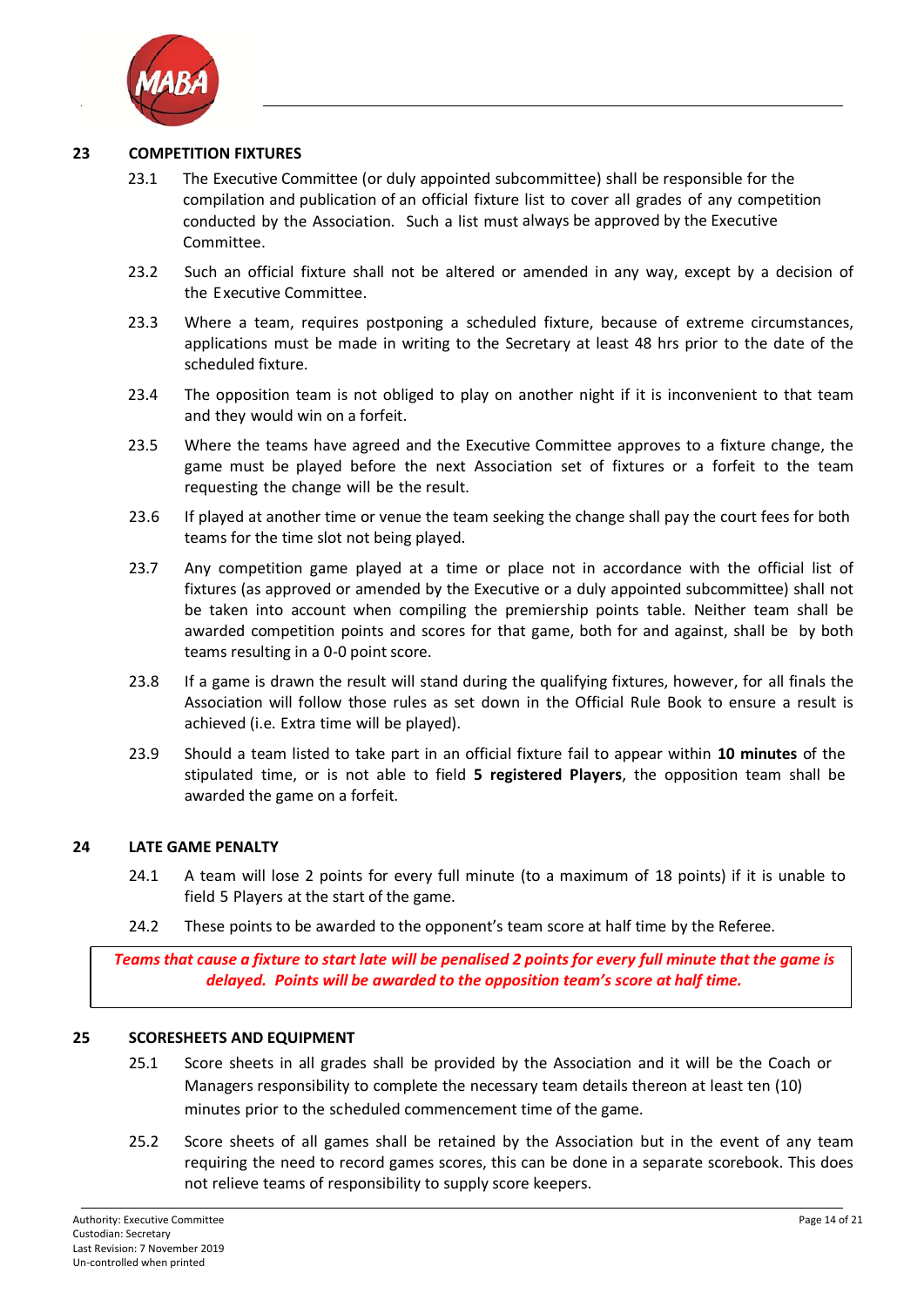

#### **23 COMPETITION FIXTURES**

- 23.1 The Executive Committee (or duly appointed subcommittee) shall be responsible for the compilation and publication of an official fixture list to cover all grades of any competition conducted by the Association. Such a list must always be approved by the Executive Committee.
- 23.2 Such an official fixture shall not be altered or amended in any way, except by a decision of the Executive Committee.
- 23.3 Where a team, requires postponing a scheduled fixture, because of extreme circumstances, applications must be made in writing to the Secretary at least 48 hrs prior to the date of the scheduled fixture.
- 23.4 The opposition team is not obliged to play on another night if it is inconvenient to that team and they would win on a forfeit.
- 23.5 Where the teams have agreed and the Executive Committee approves to a fixture change, the game must be played before the next Association set of fixtures or a forfeit to the team requesting the change will be the result.
- 23.6 If played at another time or venue the team seeking the change shall pay the court fees for both teams for the time slot not being played.
- 23.7 Any competition game played at a time or place not in accordance with the official list of fixtures (as approved or amended by the Executive or a duly appointed subcommittee) shall not be taken into account when compiling the premiership points table. Neither team shall be awarded competition points and scores for that game, both for and against, shall be by both teams resulting in a 0‐0 point score.
- 23.8 If a game is drawn the result will stand during the qualifying fixtures, however, for all finals the Association will follow those rules as set down in the Official Rule Book to ensure a result is achieved (i.e. Extra time will be played).
- 23.9 Should a team listed to take part in an official fixture fail to appear within **10 minutes** of the stipulated time, or is not able to field **5 registered Players**, the opposition team shall be awarded the game on a forfeit.

#### **24 LATE GAME PENALTY**

- 24.1 A team will lose 2 points for every full minute (to a maximum of 18 points) if it is unable to field 5 Players at the start of the game.
- 24.2 These points to be awarded to the opponent's team score at half time by the Referee.

Teams that cause a fixture to start late will be penalised 2 points for every full minute that the game is *delayed. Points will be awarded to the opposition team's score at half time.*

#### **25 SCORESHEETS AND EQUIPMENT**

- 25.1 Score sheets in all grades shall be provided by the Association and it will be the Coach or Managers responsibility to complete the necessary team details thereon at least ten (10) minutes prior to the scheduled commencement time of the game.
- 25.2 Score sheets of all games shall be retained by the Association but in the event of any team requiring the need to record games scores, this can be done in a separate scorebook. This does not relieve teams of responsibility to supply score keepers.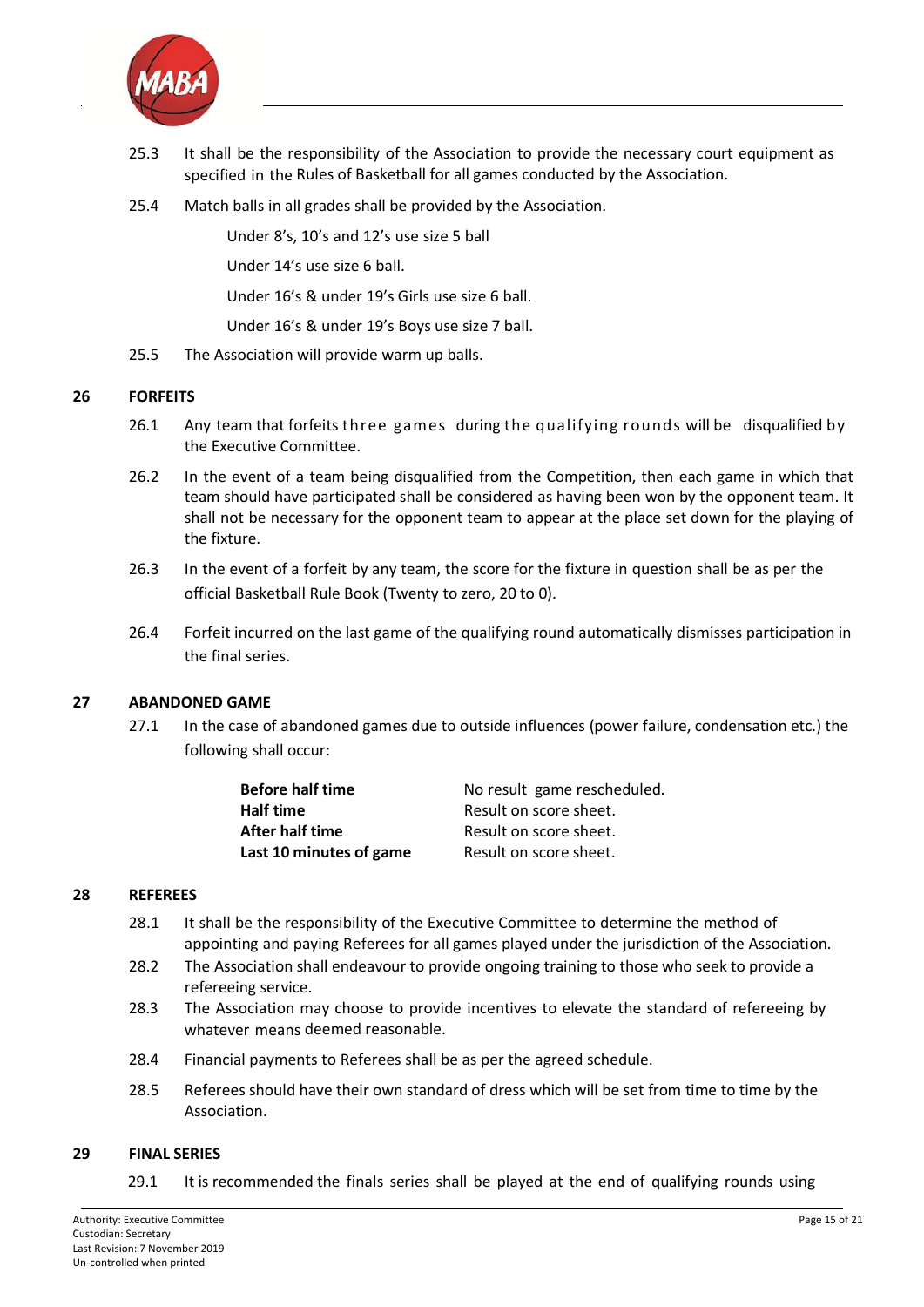

- 25.3 It shall be the responsibility of the Association to provide the necessary court equipment as specified in the Rules of Basketball for all games conducted by the Association.
- 25.4 Match balls in all grades shall be provided by the Association.

Under 8's, 10's and 12's use size 5 ball

Under 14's use size 6 ball.

Under 16's & under 19's Girls use size 6 ball.

Under 16's & under 19's Boys use size 7 ball.

25.5 The Association will provide warm up balls.

#### **26 FORFEITS**

- 26.1 Any team that forfeits three games during the qualifying rounds will be disqualified by the Executive Committee.
- 26.2 In the event of a team being disqualified from the Competition, then each game in which that team should have participated shall be considered as having been won by the opponent team. It shall not be necessary for the opponent team to appear at the place set down for the playing of the fixture.
- 26.3 In the event of a forfeit by any team, the score for the fixture in question shall be as per the official Basketball Rule Book (Twenty to zero, 20 to 0).
- 26.4 Forfeit incurred on the last game of the qualifying round automatically dismisses participation in the final series.

#### **27 ABANDONED GAME**

27.1 In the case of abandoned games due to outside influences (power failure, condensation etc.) the following shall occur:

| No result game rescheduled. |
|-----------------------------|
| Result on score sheet.      |
| Result on score sheet.      |
| Result on score sheet.      |
|                             |

#### **28 REFEREES**

- 28.1 It shall be the responsibility of the Executive Committee to determine the method of appointing and paying Referees for all games played under the jurisdiction of the Association.
- 28.2 The Association shall endeavour to provide ongoing training to those who seek to provide a refereeing service.
- 28.3 The Association may choose to provide incentives to elevate the standard of refereeing by whatever means deemed reasonable.
- 28.4 Financial payments to Referees shall be as per the agreed schedule.
- 28.5 Referees should have their own standard of dress which will be set from time to time by the Association.

#### **29 FINAL SERIES**

29.1 It is recommended the finals series shall be played at the end of qualifying rounds using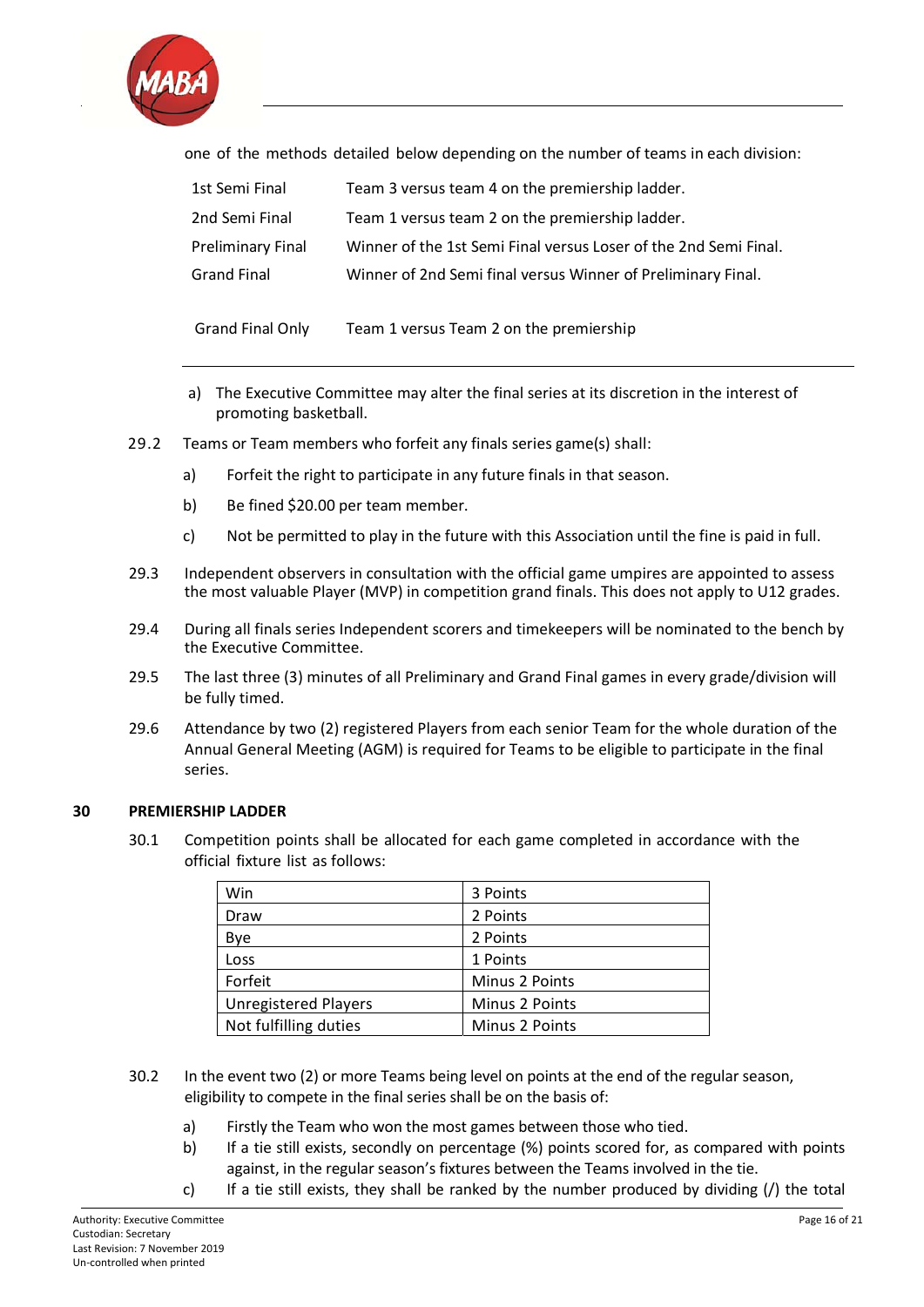

one of the methods detailed below depending on the number of teams in each division:

| 1st Semi Final           | Team 3 versus team 4 on the premiership ladder.                  |
|--------------------------|------------------------------------------------------------------|
| 2nd Semi Final           | Team 1 versus team 2 on the premiership ladder.                  |
| <b>Preliminary Final</b> | Winner of the 1st Semi Final versus Loser of the 2nd Semi Final. |
| <b>Grand Final</b>       | Winner of 2nd Semi final versus Winner of Preliminary Final.     |
|                          |                                                                  |

Grand Final Only Team 1 versus Team 2 on the premiership

- a) The Executive Committee may alter the final series at its discretion in the interest of promoting basketball.
- 29.2 Teams or Team members who forfeit any finals series game(s) shall:
	- a) Forfeit the right to participate in any future finals in that season.
	- b) Be fined \$20.00 per team member.
	- c) Not be permitted to play in the future with this Association until the fine is paid in full.
- 29.3 Independent observers in consultation with the official game umpires are appointed to assess the most valuable Player (MVP) in competition grand finals. This does not apply to U12 grades.
- 29.4 During all finals series Independent scorers and timekeepers will be nominated to the bench by the Executive Committee.
- 29.5 The last three (3) minutes of all Preliminary and Grand Final games in every grade/division will be fully timed.
- 29.6 Attendance by two (2) registered Players from each senior Team for the whole duration of the Annual General Meeting (AGM) is required for Teams to be eligible to participate in the final series.

#### **30 PREMIERSHIP LADDER**

30.1 Competition points shall be allocated for each game completed in accordance with the official fixture list as follows:

| Win                         | 3 Points       |
|-----------------------------|----------------|
| Draw                        | 2 Points       |
| Bye                         | 2 Points       |
| Loss                        | 1 Points       |
| Forfeit                     | Minus 2 Points |
| <b>Unregistered Players</b> | Minus 2 Points |
| Not fulfilling duties       | Minus 2 Points |

- 30.2 In the event two (2) or more Teams being level on points at the end of the regular season, eligibility to compete in the final series shall be on the basis of:
	- a) Firstly the Team who won the most games between those who tied.
	- b) If a tie still exists, secondly on percentage (%) points scored for, as compared with points against, in the regular season's fixtures between the Teams involved in the tie.
	- c) If a tie still exists, they shall be ranked by the number produced by dividing (/) the total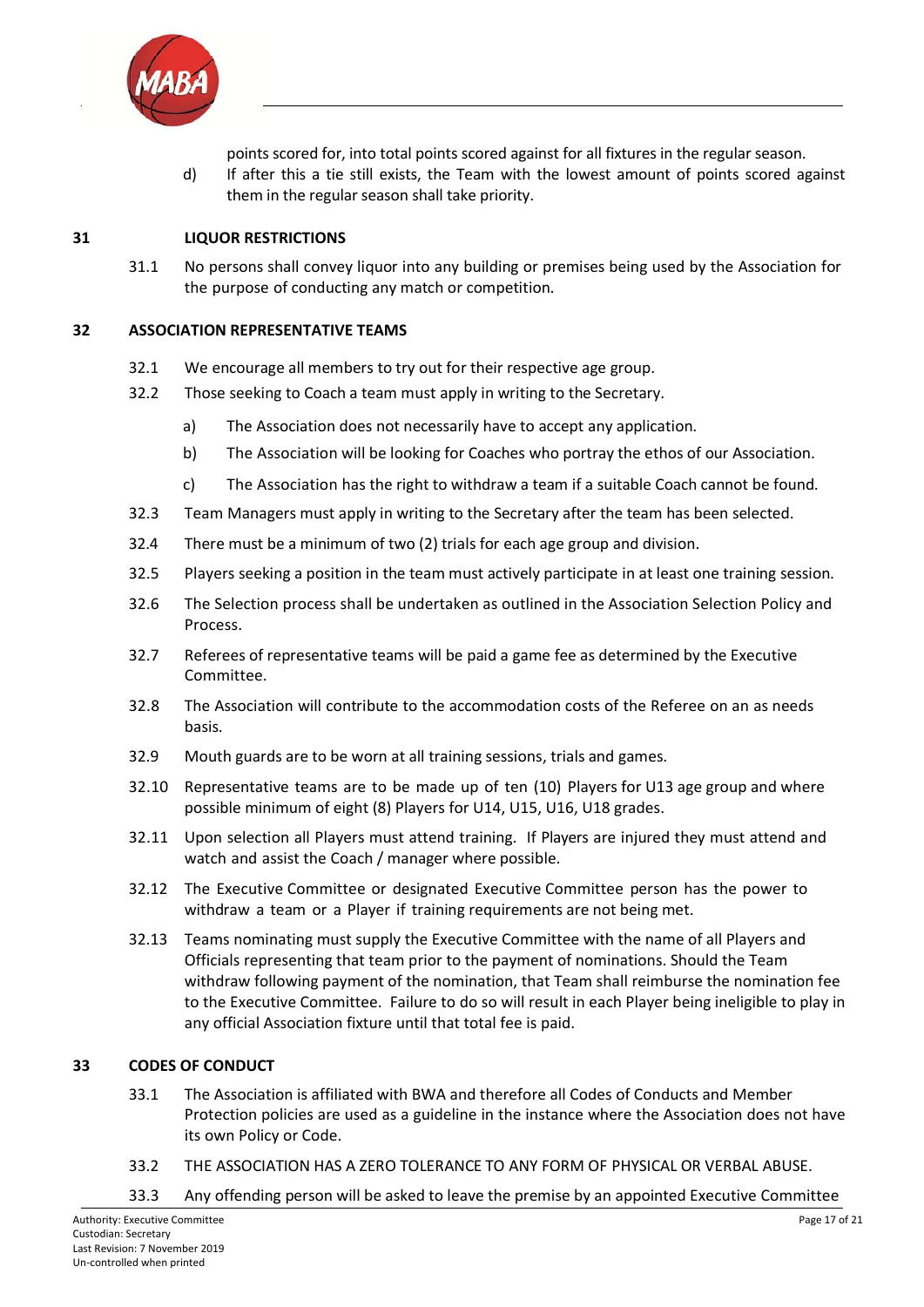

points scored for, into total points scored against for all fixtures in the regular season.

d) If after this a tie still exists, the Team with the lowest amount of points scored against them in the regular season shall take priority.

#### **31 LIQUOR RESTRICTIONS**

31.1 No persons shall convey liquor into any building or premises being used by the Association for the purpose of conducting any match or competition.

#### **32 ASSOCIATION REPRESENTATIVE TEAMS**

- 32.1 We encourage all members to try out for their respective age group.
- 32.2 Those seeking to Coach a team must apply in writing to the Secretary.
	- a) The Association does not necessarily have to accept any application.
	- b) The Association will be looking for Coaches who portray the ethos of our Association.
	- c) The Association has the right to withdraw a team if a suitable Coach cannot be found.
- 32.3 Team Managers must apply in writing to the Secretary after the team has been selected.
- 32.4 There must be a minimum of two (2) trials for each age group and division.
- 32.5 Players seeking a position in the team must actively participate in at least one training session.
- 32.6 The Selection process shall be undertaken as outlined in the Association Selection Policy and Process.
- 32.7 Referees of representative teams will be paid a game fee as determined by the Executive Committee.
- 32.8 The Association will contribute to the accommodation costs of the Referee on an as needs basis.
- 32.9 Mouth guards are to be worn at all training sessions, trials and games.
- 32.10 Representative teams are to be made up of ten (10) Players for U13 age group and where possible minimum of eight (8) Players for U14, U15, U16, U18 grades.
- 32.11 Upon selection all Players must attend training. If Players are injured they must attend and watch and assist the Coach / manager where possible.
- 32.12 The Executive Committee or designated Executive Committee person has the power to withdraw a team or a Player if training requirements are not being met.
- 32.13 Teams nominating must supply the Executive Committee with the name of all Players and Officials representing that team prior to the payment of nominations. Should the Team withdraw following payment of the nomination, that Team shall reimburse the nomination fee to the Executive Committee. Failure to do so will result in each Player being ineligible to play in any official Association fixture until that total fee is paid.

#### **33 CODES OF CONDUCT**

- 33.1 The Association is affiliated with BWA and therefore all Codes of Conducts and Member Protection policies are used as a guideline in the instance where the Association does not have its own Policy or Code.
- 33.2 THE ASSOCIATION HAS A ZERO TOLERANCE TO ANY FORM OF PHYSICAL OR VERBAL ABUSE.
- 33.3 Any offending person will be asked to leave the premise by an appointed Executive Committee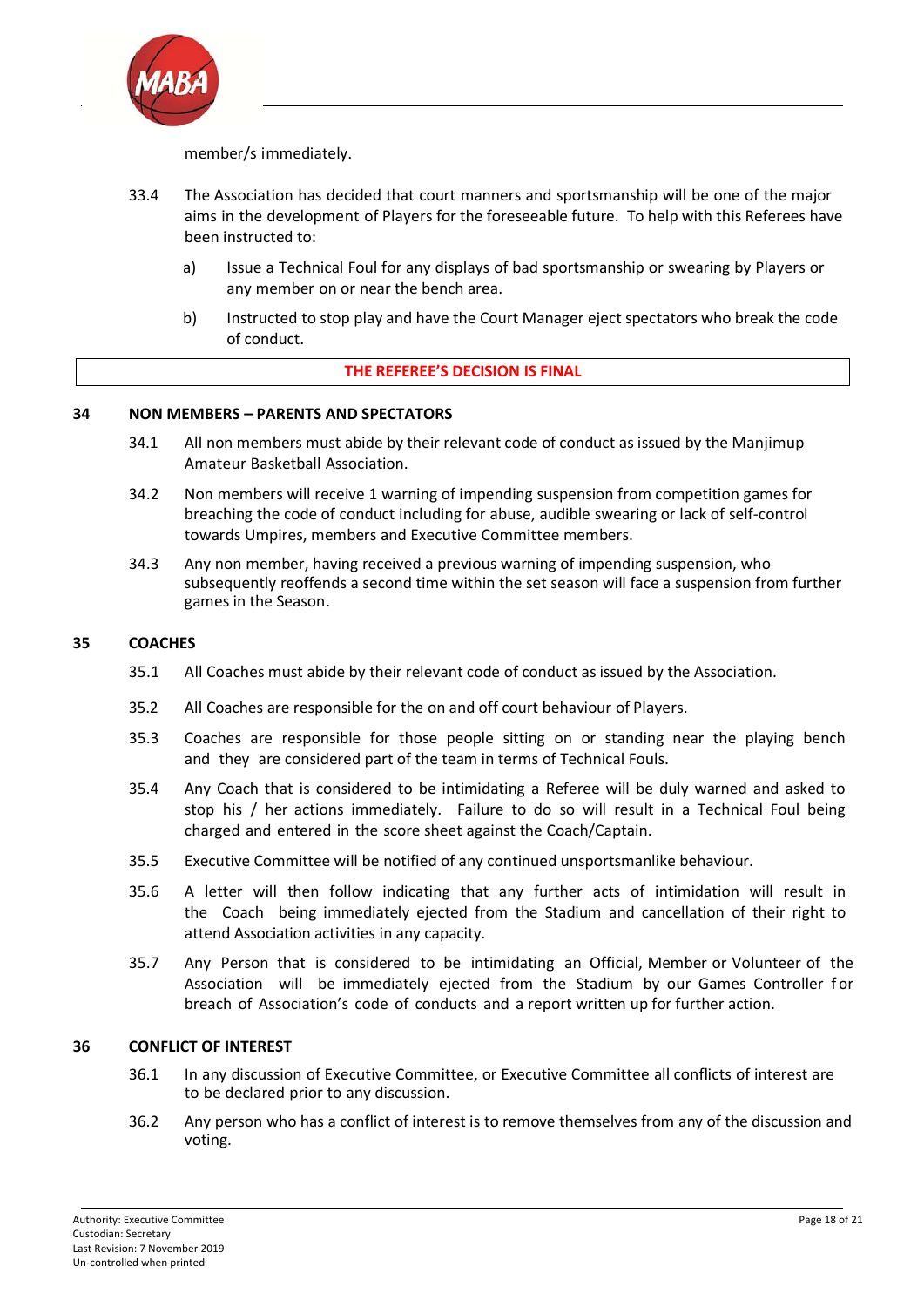

member/s immediately.

- 33.4 The Association has decided that court manners and sportsmanship will be one of the major aims in the development of Players for the foreseeable future. To help with this Referees have been instructed to:
	- a) Issue a Technical Foul for any displays of bad sportsmanship or swearing by Players or any member on or near the bench area.
	- b) Instructed to stop play and have the Court Manager eject spectators who break the code of conduct.

#### **THE REFEREE'S DECISION IS FINAL**

#### **34 NON MEMBERS – PARENTS AND SPECTATORS**

- 34.1 All non members must abide by their relevant code of conduct as issued by the Manjimup Amateur Basketball Association.
- 34.2 Non members will receive 1 warning of impending suspension from competition games for breaching the code of conduct including for abuse, audible swearing or lack of self‐control towards Umpires, members and Executive Committee members.
- 34.3 Any non member, having received a previous warning of impending suspension, who subsequently reoffends a second time within the set season will face a suspension from further games in the Season.

#### **35 COACHES**

- 35.1 All Coaches must abide by their relevant code of conduct as issued by the Association.
- 35.2 All Coaches are responsible for the on and off court behaviour of Players.
- 35.3 Coaches are responsible for those people sitting on or standing near the playing bench and they are considered part of the team in terms of Technical Fouls.
- 35.4 Any Coach that is considered to be intimidating a Referee will be duly warned and asked to stop his / her actions immediately. Failure to do so will result in a Technical Foul being charged and entered in the score sheet against the Coach/Captain.
- 35.5 Executive Committee will be notified of any continued unsportsmanlike behaviour.
- 35.6 A letter will then follow indicating that any further acts of intimidation will result in the Coach being immediately ejected from the Stadium and cancellation of their right to attend Association activities in any capacity.
- 35.7 Any Person that is considered to be intimidating an Official, Member or Volunteer of the Association will be immediately ejected from the Stadium by our Games Controller for breach of Association's code of conducts and a report written up for further action.

#### **36 CONFLICT OF INTEREST**

- 36.1 In any discussion of Executive Committee, or Executive Committee all conflicts of interest are to be declared prior to any discussion.
- 36.2 Any person who has a conflict of interest is to remove themselves from any of the discussion and voting.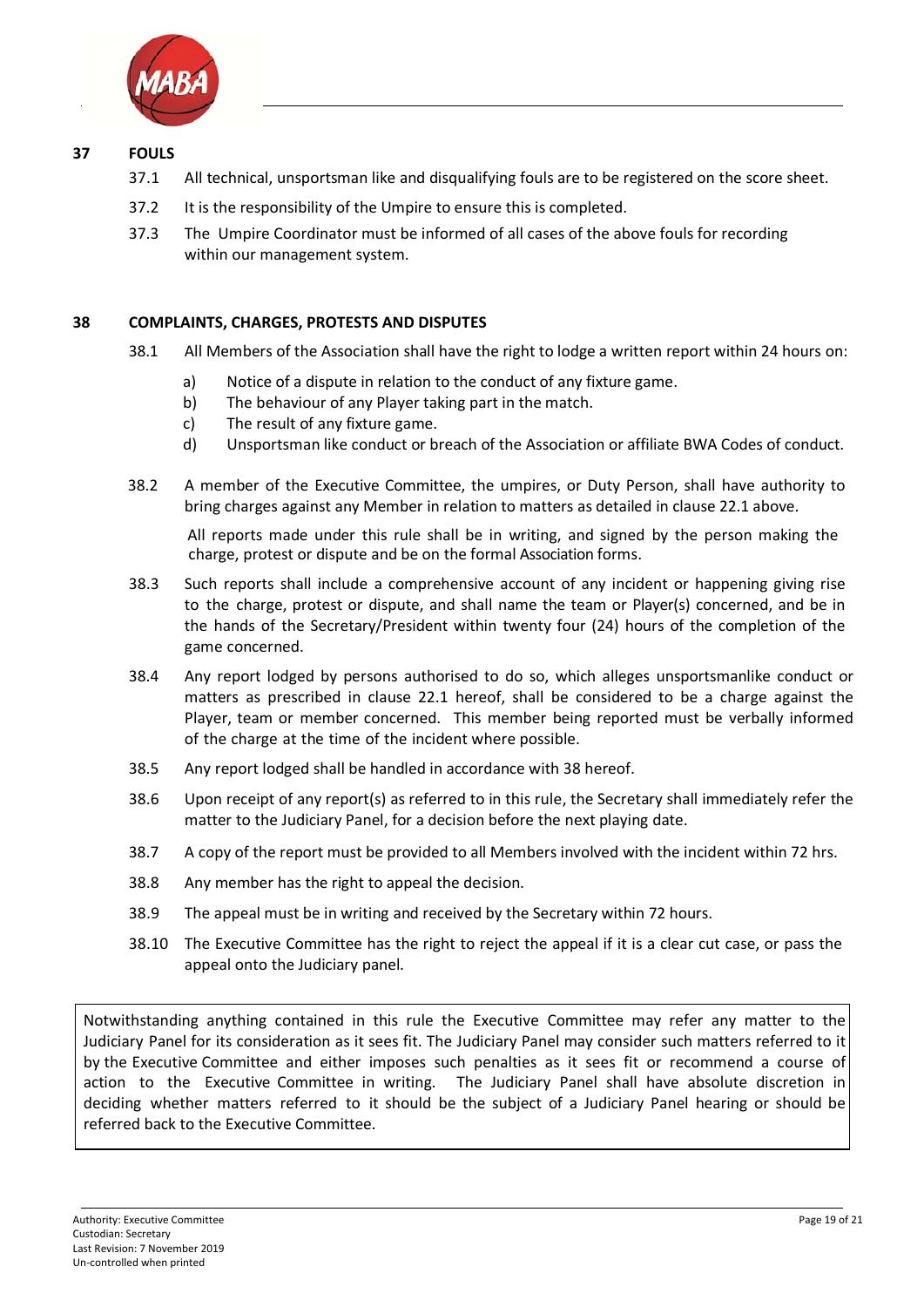

#### **37 FOULS**

- 37.1 All technical, unsportsman like and disqualifying fouls are to be registered on the score sheet.
- 37.2 It is the responsibility of the Umpire to ensure this is completed.
- 37.3 The Umpire Coordinator must be informed of all cases of the above fouls for recording within our management system.

#### **38 COMPLAINTS, CHARGES, PROTESTS AND DISPUTES**

- 38.1 All Members of the Association shall have the right to lodge a written report within 24 hours on:
	- a) Notice of a dispute in relation to the conduct of any fixture game.
	- b) The behaviour of any Player taking part in the match.
	- c) The result of any fixture game.
	- d) Unsportsman like conduct or breach of the Association or affiliate BWA Codes of conduct.
- 38.2 A member of the Executive Committee, the umpires, or Duty Person, shall have authority to bring charges against any Member in relation to matters as detailed in clause 22.1 above.

All reports made under this rule shall be in writing, and signed by the person making the charge, protest or dispute and be on the formal Association forms.

- 38.3 Such reports shall include a comprehensive account of any incident or happening giving rise to the charge, protest or dispute, and shall name the team or Player(s) concerned, and be in the hands of the Secretary/President within twenty four (24) hours of the completion of the game concerned.
- 38.4 Any report lodged by persons authorised to do so, which alleges unsportsmanlike conduct or matters as prescribed in clause 22.1 hereof, shall be considered to be a charge against the Player, team or member concerned. This member being reported must be verbally informed of the charge at the time of the incident where possible.
- 38.5 Any report lodged shall be handled in accordance with 38 hereof.
- 38.6 Upon receipt of any report(s) as referred to in this rule, the Secretary shall immediately refer the matter to the Judiciary Panel, for a decision before the next playing date.
- 38.7 A copy of the report must be provided to all Members involved with the incident within 72 hrs.
- 38.8 Any member has the right to appeal the decision.
- 38.9 The appeal must be in writing and received by the Secretary within 72 hours.
- 38.10 The Executive Committee has the right to reject the appeal if it is a clear cut case, or pass the appeal onto the Judiciary panel.

Notwithstanding anything contained in this rule the Executive Committee may refer any matter to the Judiciary Panel for its consideration as it sees fit. The Judiciary Panel may consider such matters referred to it by the Executive Committee and either imposes such penalties as it sees fit or recommend a course of action to the Executive Committee in writing. The Judiciary Panel shall have absolute discretion in deciding whether matters referred to it should be the subject of a Judiciary Panel hearing or should be referred back to the Executive Committee.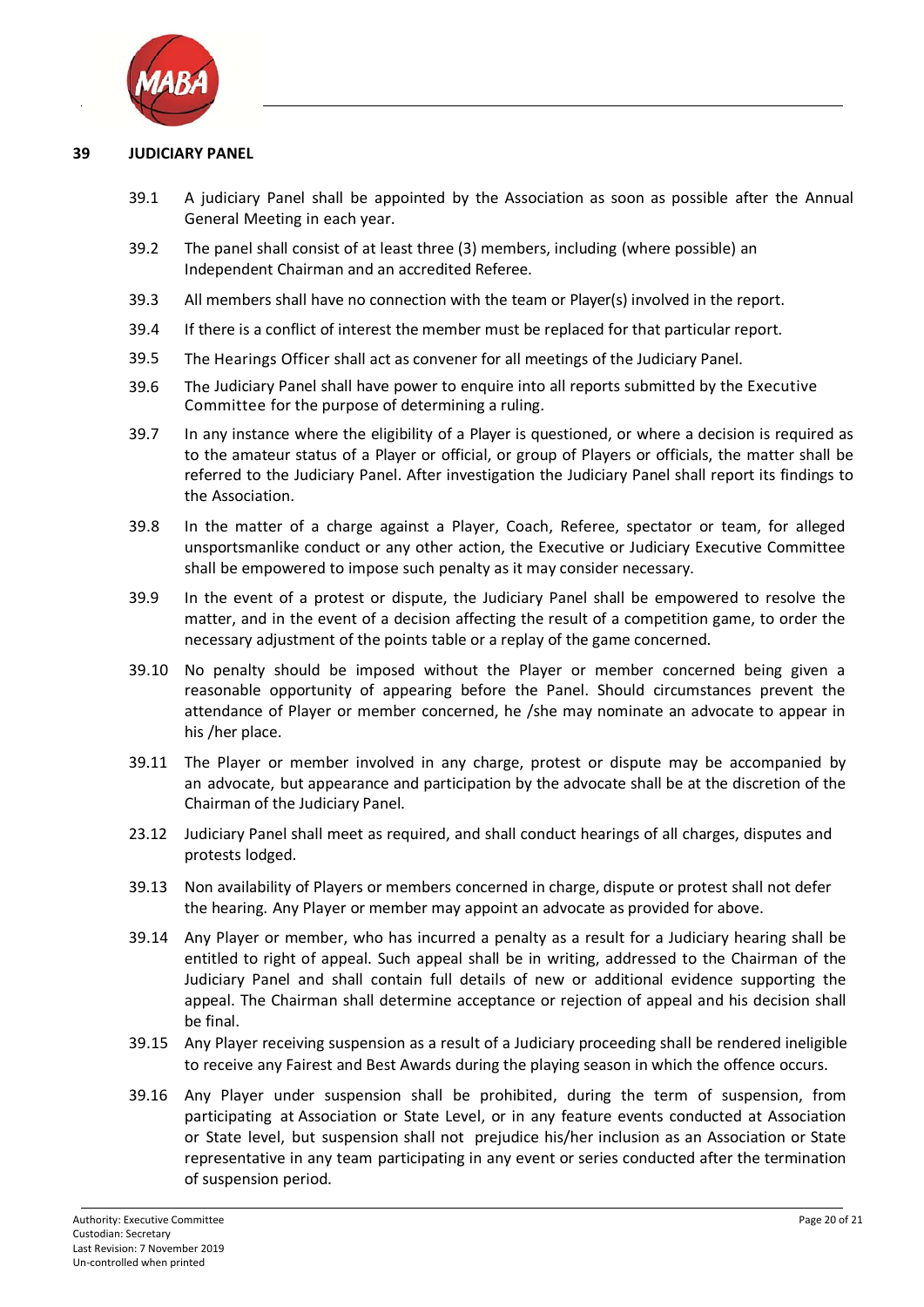

#### **39 JUDICIARY PANEL**

- 39.1 A judiciary Panel shall be appointed by the Association as soon as possible after the Annual General Meeting in each year.
- 39.2 The panel shall consist of at least three (3) members, including (where possible) an Independent Chairman and an accredited Referee.
- 39.3 All members shall have no connection with the team or Player(s) involved in the report.
- 39.4 If there is a conflict of interest the member must be replaced for that particular report.
- 39.5 The Hearings Officer shall act as convener for all meetings of the Judiciary Panel.
- 39.6 The Judiciary Panel shall have power to enquire into all reports submitted by the Executive Committee for the purpose of determining a ruling.
- 39.7 In any instance where the eligibility of a Player is questioned, or where a decision is required as to the amateur status of a Player or official, or group of Players or officials, the matter shall be referred to the Judiciary Panel. After investigation the Judiciary Panel shall report its findings to the Association.
- 39.8 In the matter of a charge against a Player, Coach, Referee, spectator or team, for alleged unsportsmanlike conduct or any other action, the Executive or Judiciary Executive Committee shall be empowered to impose such penalty as it may consider necessary.
- 39.9 In the event of a protest or dispute, the Judiciary Panel shall be empowered to resolve the matter, and in the event of a decision affecting the result of a competition game, to order the necessary adjustment of the points table or a replay of the game concerned.
- 39.10 No penalty should be imposed without the Player or member concerned being given a reasonable opportunity of appearing before the Panel. Should circumstances prevent the attendance of Player or member concerned, he /she may nominate an advocate to appear in his /her place.
- 39.11 The Player or member involved in any charge, protest or dispute may be accompanied by an advocate, but appearance and participation by the advocate shall be at the discretion of the Chairman of the Judiciary Panel.
- 23.12 Judiciary Panel shall meet as required, and shall conduct hearings of all charges, disputes and protests lodged.
- 39.13 Non availability of Players or members concerned in charge, dispute or protest shall not defer the hearing. Any Player or member may appoint an advocate as provided for above.
- 39.14 Any Player or member, who has incurred a penalty as a result for a Judiciary hearing shall be entitled to right of appeal. Such appeal shall be in writing, addressed to the Chairman of the Judiciary Panel and shall contain full details of new or additional evidence supporting the appeal. The Chairman shall determine acceptance or rejection of appeal and his decision shall be final.
- 39.15 Any Player receiving suspension as a result of a Judiciary proceeding shall be rendered ineligible to receive any Fairest and Best Awards during the playing season in which the offence occurs.
- 39.16 Any Player under suspension shall be prohibited, during the term of suspension, from participating at Association or State Level, or in any feature events conducted at Association or State level, but suspension shall not prejudice his/her inclusion as an Association or State representative in any team participating in any event or series conducted after the termination of suspension period.